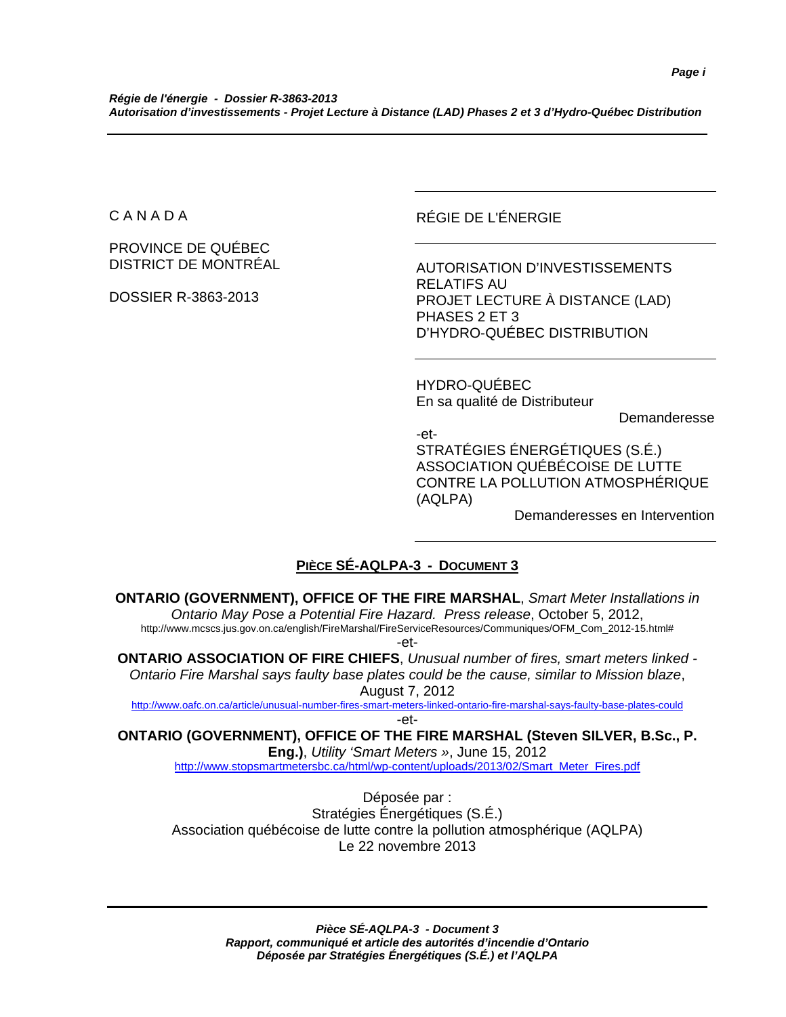C A N A D A

PROVINCE DE QUÉBEC DISTRICT DE MONTRÉAL

DOSSIER R-3863-2013

RÉGIE DE L'ÉNERGIE

AUTORISATION D'INVESTISSEMENTS RELATIFS AU PROJET LECTURE À DISTANCE (LAD) PHASES 2 ET 3 D'HYDRO-QUÉBEC DISTRIBUTION

HYDRO-QUÉBEC En sa qualité de Distributeur

Demanderesse

-et-STRATÉGIES ÉNERGÉTIQUES (S.É.) ASSOCIATION QUÉBÉCOISE DE LUTTE CONTRE LA POLLUTION ATMOSPHÉRIQUE (AQLPA)

Demanderesses en Intervention

#### **PIÈCE SÉ-AQLPA-3 - DOCUMENT 3**

**ONTARIO (GOVERNMENT), OFFICE OF THE FIRE MARSHAL**, *Smart Meter Installations in Ontario May Pose a Potential Fire Hazard. Press release*, October 5, 2012, http://www.mcscs.jus.gov.on.ca/english/FireMarshal/FireServiceResources/Communiques/OFM\_Com\_2012-15.html# -et-**ONTARIO ASSOCIATION OF FIRE CHIEFS**, *Unusual number of fires, smart meters linked -* 

*Ontario Fire Marshal says faulty base plates could be the cause, similar to Mission blaze*, August 7, 2012

http://www.oafc.on.ca/article/unusual-number-fires-smart-meters-linked-ontario-fire-marshal-says-faulty-base-plates-could -et-

**ONTARIO (GOVERNMENT), OFFICE OF THE FIRE MARSHAL (Steven SILVER, B.Sc., P. Eng.)**, *Utility 'Smart Meters »*, June 15, 2012

http://www.stopsmartmetersbc.ca/html/wp-content/uploads/2013/02/Smart\_Meter\_Fires.pdf

Déposée par : Stratégies Énergétiques (S.É.) Association québécoise de lutte contre la pollution atmosphérique (AQLPA) Le 22 novembre 2013

> *Pièce SÉ-AQLPA-3 - Document 3 Rapport, communiqué et article des autorités d'incendie d'Ontario Déposée par Stratégies Énergétiques (S.É.) et l'AQLPA*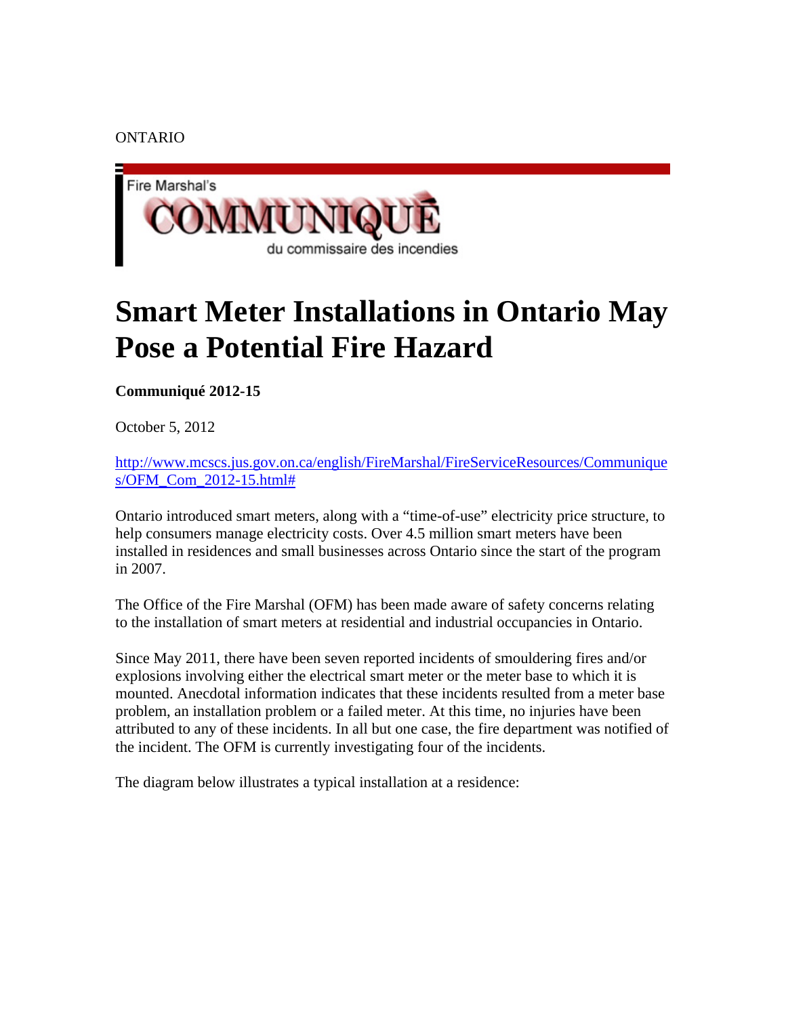ONTARIO



### **Smart Meter Installations in Ontario May Pose a Potential Fire Hazard**

**Communiqué 2012-15**

October 5, 2012

http://www.mcscs.jus.gov.on.ca/english/FireMarshal/FireServiceResources/Communique s/OFM\_Com\_2012-15.html#

Ontario introduced smart meters, along with a "time-of-use" electricity price structure, to help consumers manage electricity costs. Over 4.5 million smart meters have been installed in residences and small businesses across Ontario since the start of the program in 2007.

The Office of the Fire Marshal (OFM) has been made aware of safety concerns relating to the installation of smart meters at residential and industrial occupancies in Ontario.

Since May 2011, there have been seven reported incidents of smouldering fires and/or explosions involving either the electrical smart meter or the meter base to which it is mounted. Anecdotal information indicates that these incidents resulted from a meter base problem, an installation problem or a failed meter. At this time, no injuries have been attributed to any of these incidents. In all but one case, the fire department was notified of the incident. The OFM is currently investigating four of the incidents.

The diagram below illustrates a typical installation at a residence: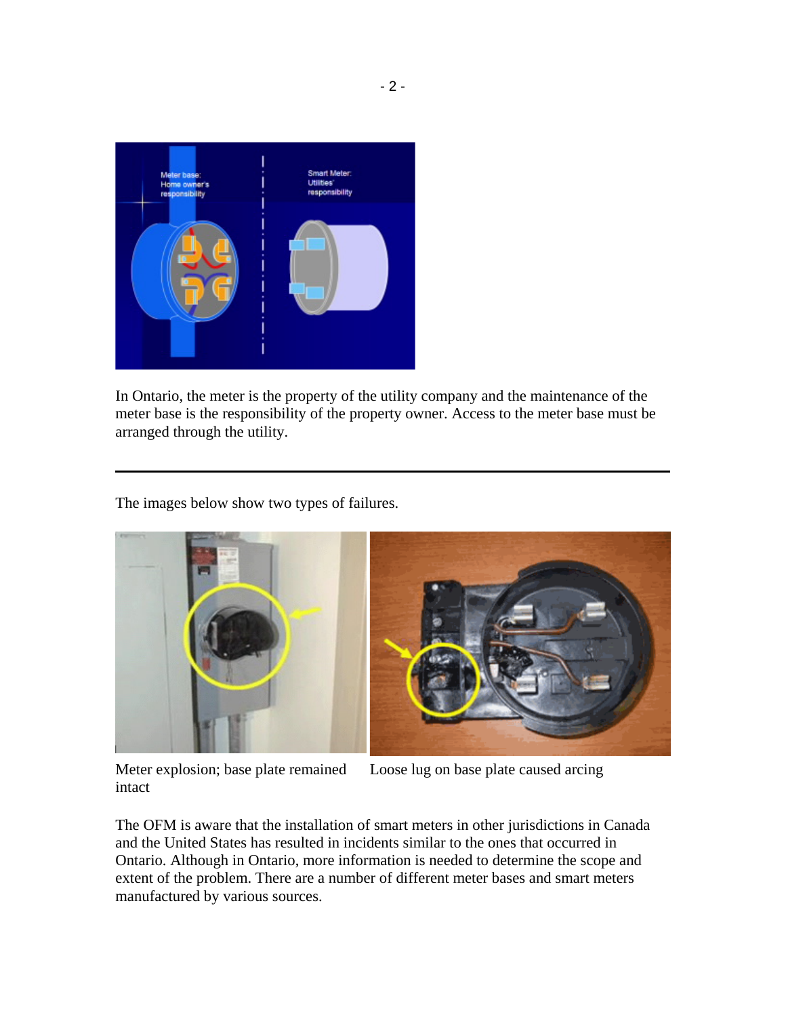

In Ontario, the meter is the property of the utility company and the maintenance of the meter base is the responsibility of the property owner. Access to the meter base must be arranged through the utility.

The images below show two types of failures.



Meter explosion; base plate remained intact

Loose lug on base plate caused arcing

The OFM is aware that the installation of smart meters in other jurisdictions in Canada and the United States has resulted in incidents similar to the ones that occurred in Ontario. Although in Ontario, more information is needed to determine the scope and extent of the problem. There are a number of different meter bases and smart meters manufactured by various sources.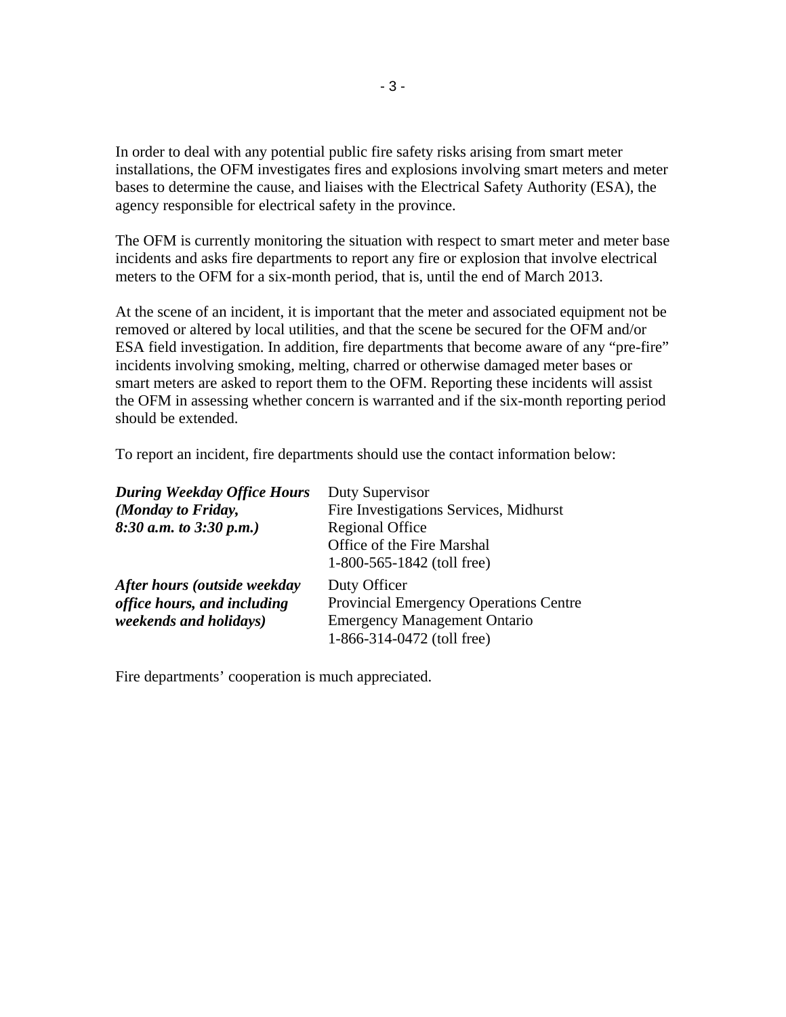In order to deal with any potential public fire safety risks arising from smart meter installations, the OFM investigates fires and explosions involving smart meters and meter bases to determine the cause, and liaises with the Electrical Safety Authority (ESA), the agency responsible for electrical safety in the province.

The OFM is currently monitoring the situation with respect to smart meter and meter base incidents and asks fire departments to report any fire or explosion that involve electrical meters to the OFM for a six-month period, that is, until the end of March 2013.

At the scene of an incident, it is important that the meter and associated equipment not be removed or altered by local utilities, and that the scene be secured for the OFM and/or ESA field investigation. In addition, fire departments that become aware of any "pre-fire" incidents involving smoking, melting, charred or otherwise damaged meter bases or smart meters are asked to report them to the OFM. Reporting these incidents will assist the OFM in assessing whether concern is warranted and if the six-month reporting period should be extended.

To report an incident, fire departments should use the contact information below:

| <b>During Weekday Office Hours</b> | Duty Supervisor                               |
|------------------------------------|-----------------------------------------------|
| (Monday to Friday,                 | Fire Investigations Services, Midhurst        |
| $8:30$ a.m. to $3:30$ p.m.)        | <b>Regional Office</b>                        |
|                                    | Office of the Fire Marshal                    |
|                                    | 1-800-565-1842 (toll free)                    |
| After hours (outside weekday       | Duty Officer                                  |
| office hours, and including        | <b>Provincial Emergency Operations Centre</b> |
| <i>weekends and holidays)</i>      | <b>Emergency Management Ontario</b>           |
|                                    | 1-866-314-0472 (toll free)                    |

Fire departments' cooperation is much appreciated.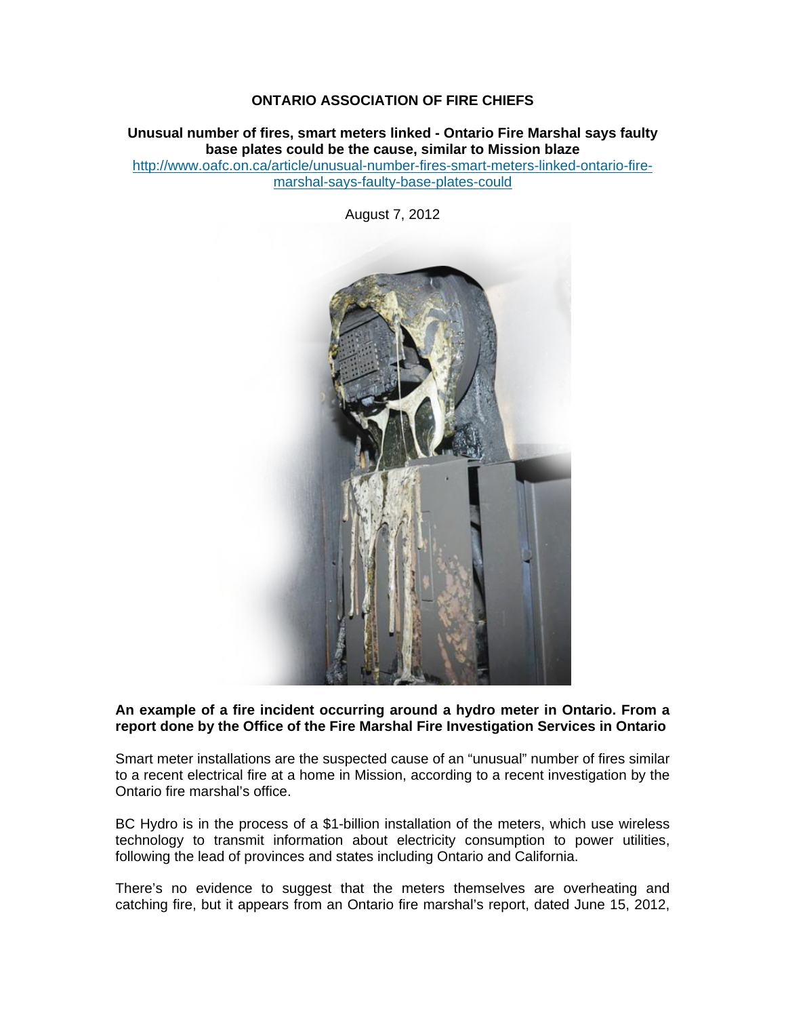#### **ONTARIO ASSOCIATION OF FIRE CHIEFS**

**Unusual number of fires, smart meters linked - Ontario Fire Marshal says faulty base plates could be the cause, similar to Mission blaze** 

http://www.oafc.on.ca/article/unusual-number-fires-smart-meters-linked-ontario-firemarshal-says-faulty-base-plates-could

August 7, 2012



#### **An example of a fire incident occurring around a hydro meter in Ontario. From a report done by the Office of the Fire Marshal Fire Investigation Services in Ontario**

Smart meter installations are the suspected cause of an "unusual" number of fires similar to a recent electrical fire at a home in Mission, according to a recent investigation by the Ontario fire marshal's office.

BC Hydro is in the process of a \$1-billion installation of the meters, which use wireless technology to transmit information about electricity consumption to power utilities, following the lead of provinces and states including Ontario and California.

There's no evidence to suggest that the meters themselves are overheating and catching fire, but it appears from an Ontario fire marshal's report, dated June 15, 2012,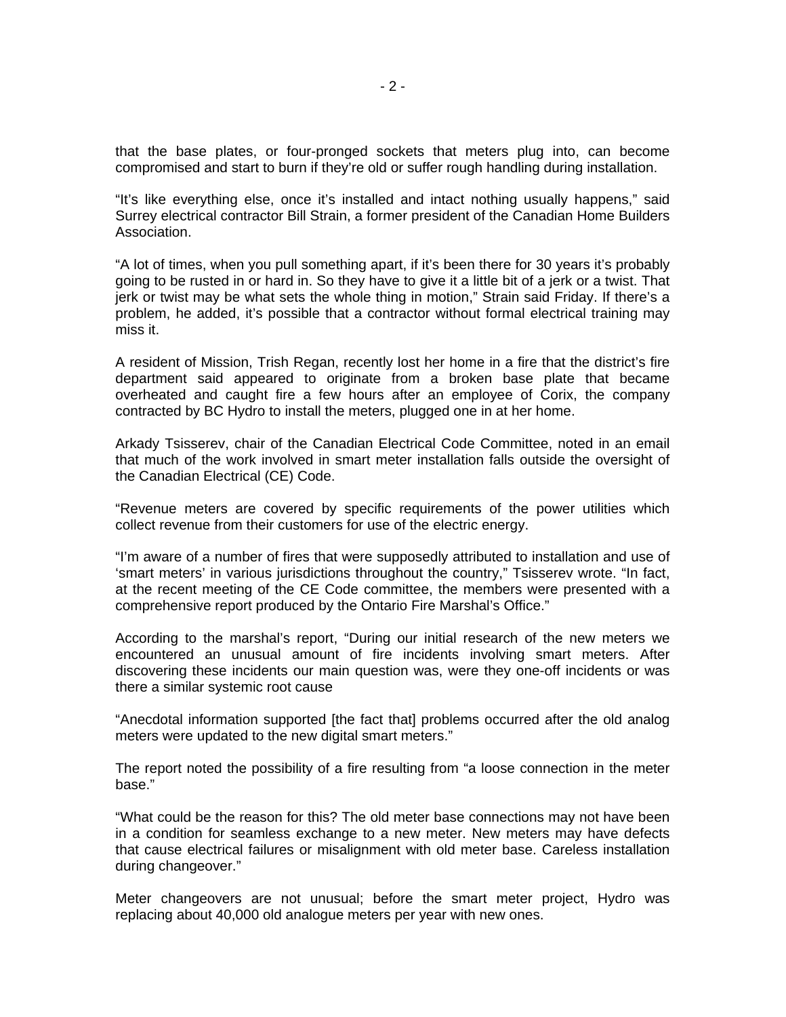that the base plates, or four-pronged sockets that meters plug into, can become compromised and start to burn if they're old or suffer rough handling during installation.

"It's like everything else, once it's installed and intact nothing usually happens," said Surrey electrical contractor Bill Strain, a former president of the Canadian Home Builders Association.

"A lot of times, when you pull something apart, if it's been there for 30 years it's probably going to be rusted in or hard in. So they have to give it a little bit of a jerk or a twist. That jerk or twist may be what sets the whole thing in motion," Strain said Friday. If there's a problem, he added, it's possible that a contractor without formal electrical training may miss it.

A resident of Mission, Trish Regan, recently lost her home in a fire that the district's fire department said appeared to originate from a broken base plate that became overheated and caught fire a few hours after an employee of Corix, the company contracted by BC Hydro to install the meters, plugged one in at her home.

Arkady Tsisserev, chair of the Canadian Electrical Code Committee, noted in an email that much of the work involved in smart meter installation falls outside the oversight of the Canadian Electrical (CE) Code.

"Revenue meters are covered by specific requirements of the power utilities which collect revenue from their customers for use of the electric energy.

"I'm aware of a number of fires that were supposedly attributed to installation and use of 'smart meters' in various jurisdictions throughout the country," Tsisserev wrote. "In fact, at the recent meeting of the CE Code committee, the members were presented with a comprehensive report produced by the Ontario Fire Marshal's Office."

According to the marshal's report, "During our initial research of the new meters we encountered an unusual amount of fire incidents involving smart meters. After discovering these incidents our main question was, were they one-off incidents or was there a similar systemic root cause

"Anecdotal information supported [the fact that] problems occurred after the old analog meters were updated to the new digital smart meters."

The report noted the possibility of a fire resulting from "a loose connection in the meter base."

"What could be the reason for this? The old meter base connections may not have been in a condition for seamless exchange to a new meter. New meters may have defects that cause electrical failures or misalignment with old meter base. Careless installation during changeover."

Meter changeovers are not unusual; before the smart meter project, Hydro was replacing about 40,000 old analogue meters per year with new ones.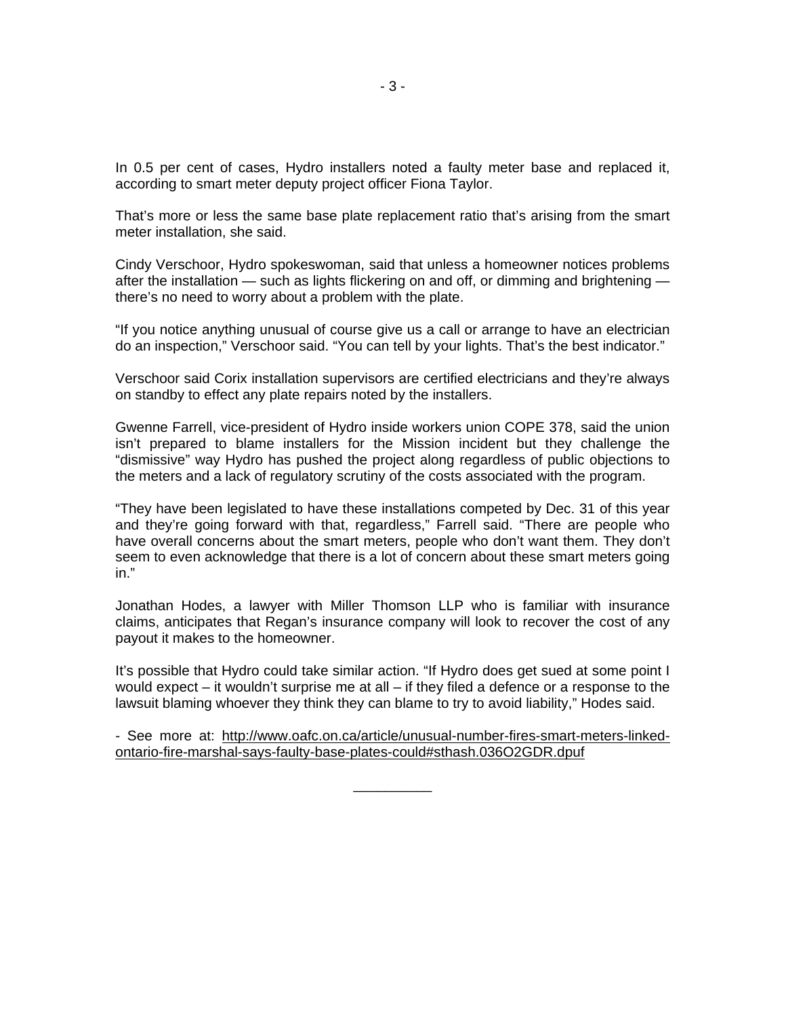In 0.5 per cent of cases, Hydro installers noted a faulty meter base and replaced it, according to smart meter deputy project officer Fiona Taylor.

That's more or less the same base plate replacement ratio that's arising from the smart meter installation, she said.

Cindy Verschoor, Hydro spokeswoman, said that unless a homeowner notices problems after the installation — such as lights flickering on and off, or dimming and brightening there's no need to worry about a problem with the plate.

"If you notice anything unusual of course give us a call or arrange to have an electrician do an inspection," Verschoor said. "You can tell by your lights. That's the best indicator."

Verschoor said Corix installation supervisors are certified electricians and they're always on standby to effect any plate repairs noted by the installers.

Gwenne Farrell, vice-president of Hydro inside workers union COPE 378, said the union isn't prepared to blame installers for the Mission incident but they challenge the "dismissive" way Hydro has pushed the project along regardless of public objections to the meters and a lack of regulatory scrutiny of the costs associated with the program.

"They have been legislated to have these installations competed by Dec. 31 of this year and they're going forward with that, regardless," Farrell said. "There are people who have overall concerns about the smart meters, people who don't want them. They don't seem to even acknowledge that there is a lot of concern about these smart meters going in."

Jonathan Hodes, a lawyer with Miller Thomson LLP who is familiar with insurance claims, anticipates that Regan's insurance company will look to recover the cost of any payout it makes to the homeowner.

It's possible that Hydro could take similar action. "If Hydro does get sued at some point I would expect – it wouldn't surprise me at all – if they filed a defence or a response to the lawsuit blaming whoever they think they can blame to try to avoid liability," Hodes said.

- See more at: http://www.oafc.on.ca/article/unusual-number-fires-smart-meters-linkedontario-fire-marshal-says-faulty-base-plates-could#sthash.036O2GDR.dpuf

\_\_\_\_\_\_\_\_\_\_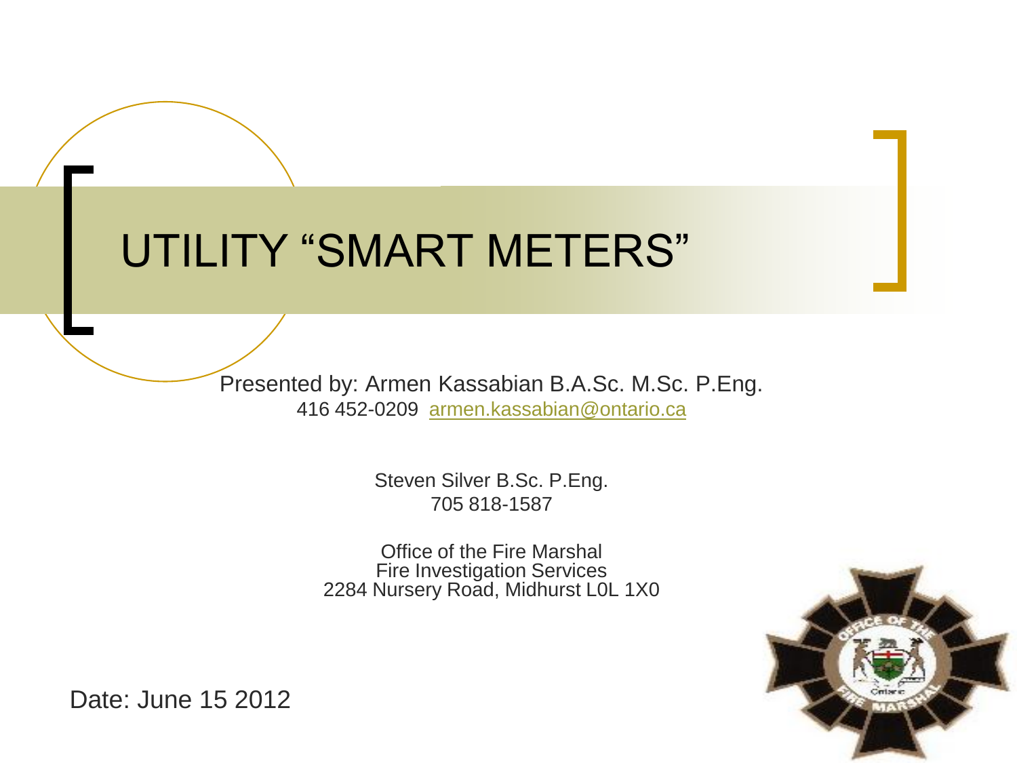### UTILITY "SMART METERS"

Presented by: Armen Kassabian B.A.Sc. M.Sc. P.Eng. 416 452-0209 [armen.kassabian@ontario.ca](mailto:armen.kassabian@ontario.ca)

> Steven Silver B.Sc. P.Eng. 705 818-1587

Office of the Fire Marshal Fire Investigation Services 2284 Nursery Road, Midhurst L0L 1X0



Date: June 15 2012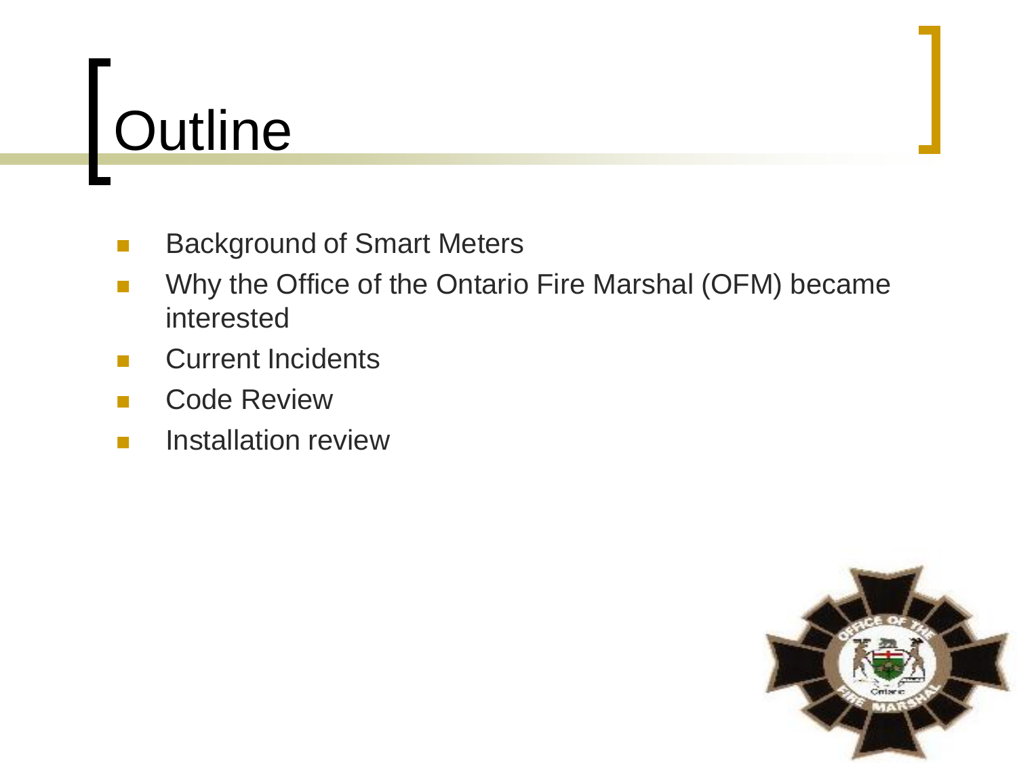# **Outline**

- Background of Smart Meters
- Why the Office of the Ontario Fire Marshal (OFM) became interested
- Current Incidents
- Code Review
- Installation review

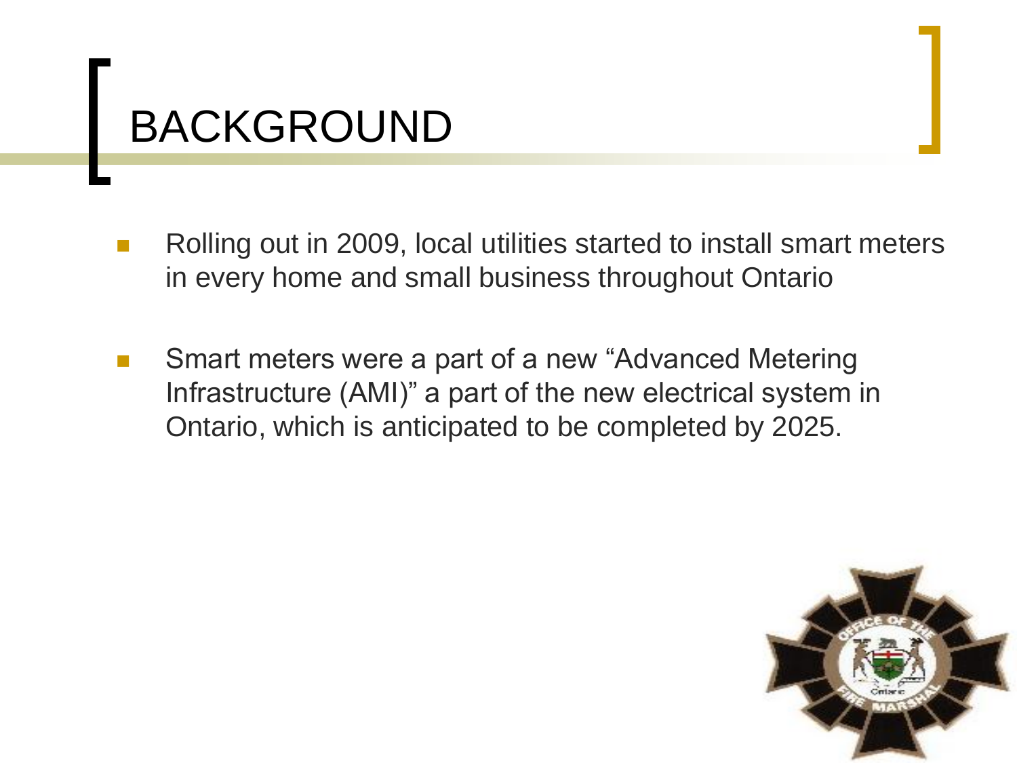### BACKGROUND

- Rolling out in 2009, local utilities started to install smart meters in every home and small business throughout Ontario
- Smart meters were a part of a new "Advanced Metering Infrastructure (AMI)" a part of the new electrical system in Ontario, which is anticipated to be completed by 2025.

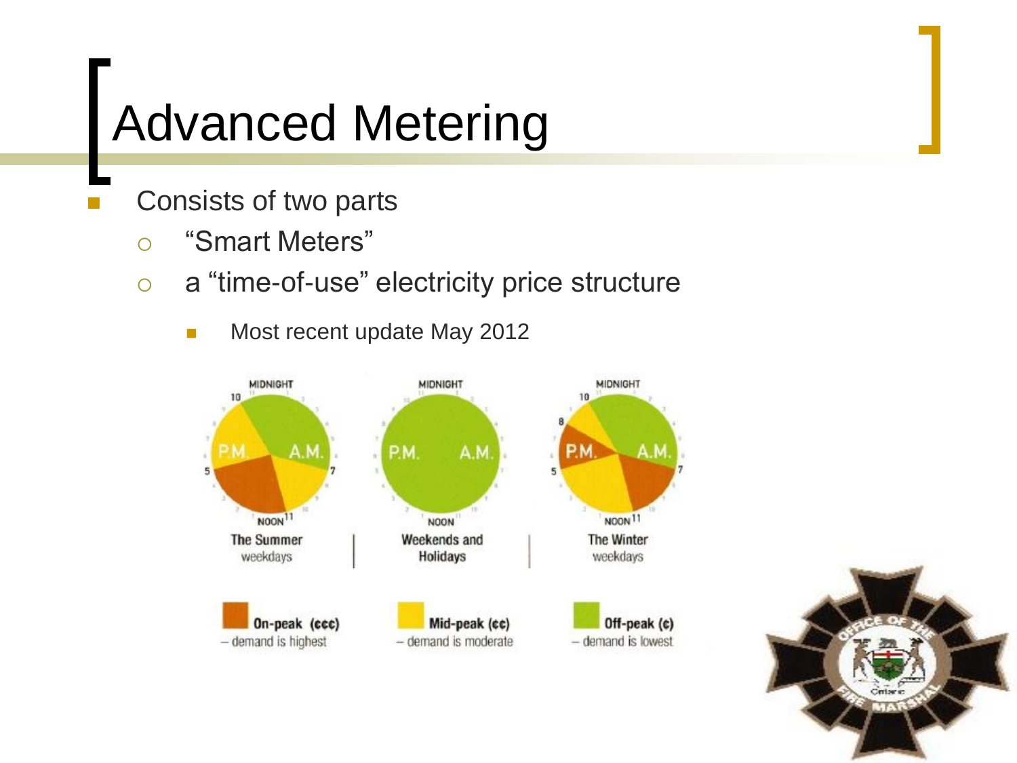## Advanced Metering

- Consists of two parts
	- "Smart Meters"
	- a "time-of-use" electricity price structure
		- **Most recent update May 2012**



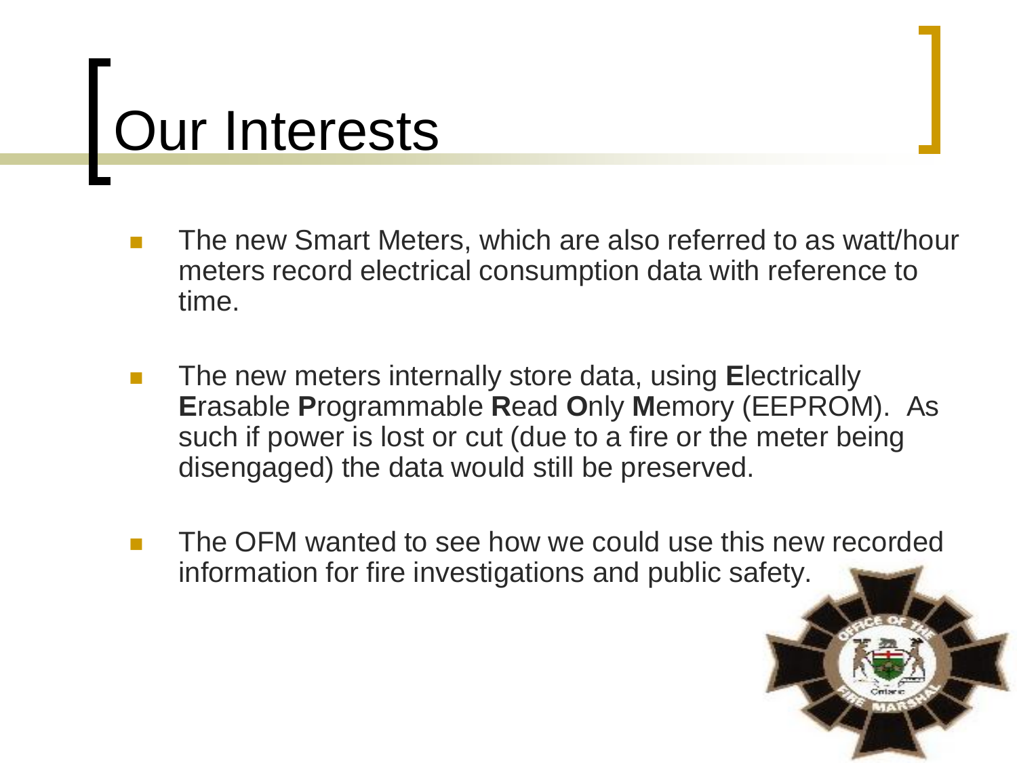# Our Interests

- The new Smart Meters, which are also referred to as watt/hour meters record electrical consumption data with reference to time.
- The new meters internally store data, using **E**lectrically **E**rasable **P**rogrammable **R**ead **O**nly **M**emory (EEPROM). As such if power is lost or cut (due to a fire or the meter being disengaged) the data would still be preserved.
- The OFM wanted to see how we could use this new recorded information for fire investigations and public safety.

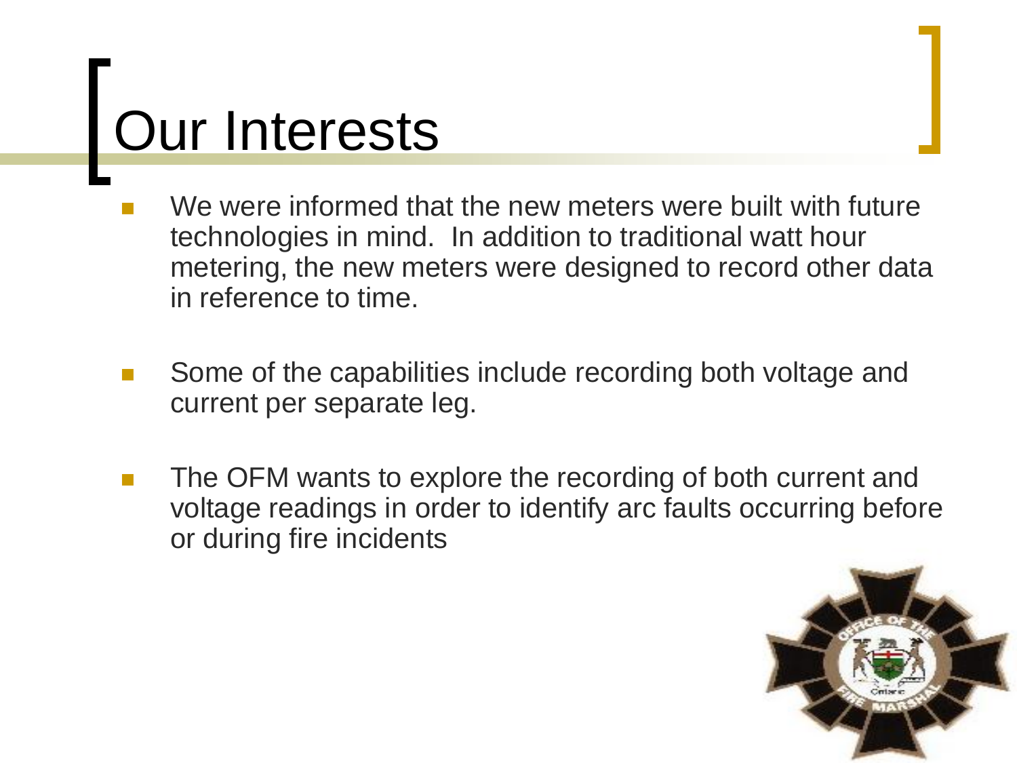# Our Interests

- We were informed that the new meters were built with future technologies in mind. In addition to traditional watt hour metering, the new meters were designed to record other data in reference to time.
- Some of the capabilities include recording both voltage and current per separate leg.
- The OFM wants to explore the recording of both current and voltage readings in order to identify arc faults occurring before or during fire incidents

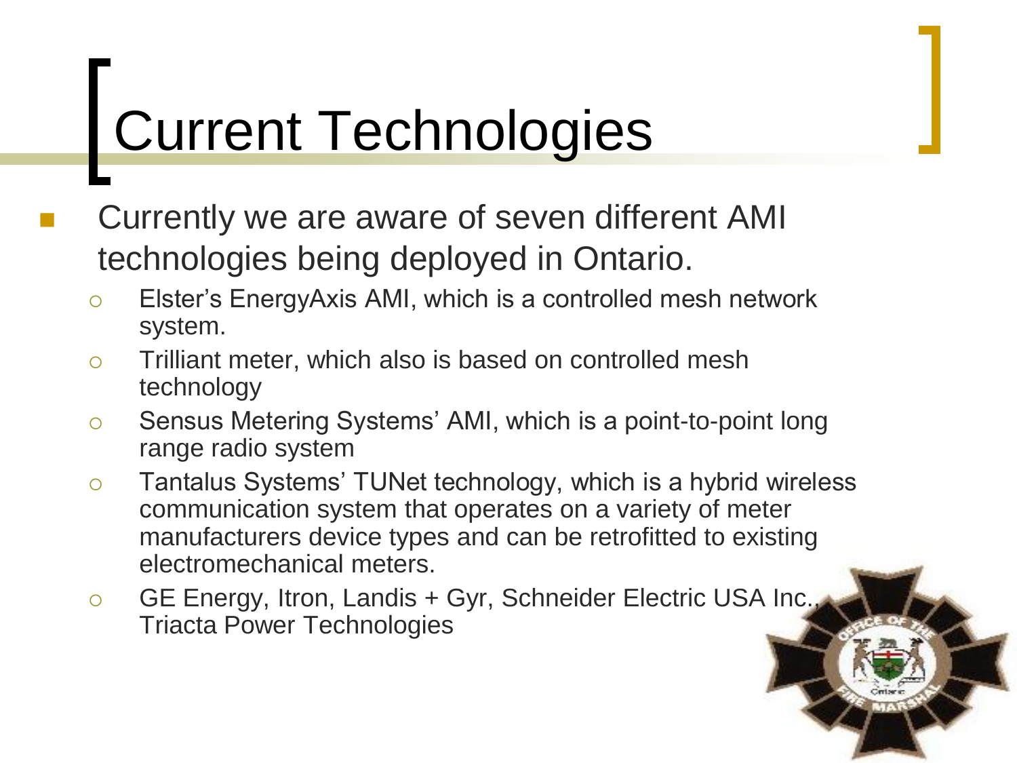# Current Technologies

- Currently we are aware of seven different AMI technologies being deployed in Ontario.
	- Elster's EnergyAxis AMI, which is a controlled mesh network system.
	- Trilliant meter, which also is based on controlled mesh technology
	- Sensus Metering Systems' AMI, which is a point-to-point long range radio system
	- o Tantalus Systems' TUNet technology, which is a hybrid wireless communication system that operates on a variety of meter manufacturers device types and can be retrofitted to existing electromechanical meters.
	- GE Energy, Itron, Landis + Gyr, Schneider Electric USA Inc., Triacta Power Technologies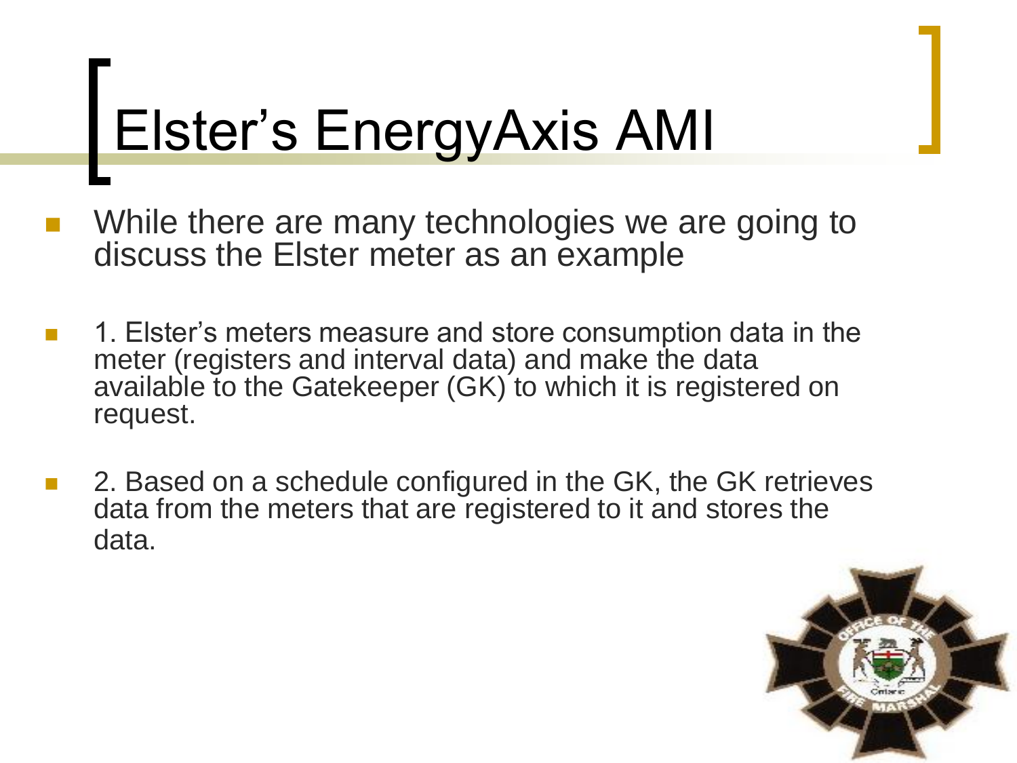# Elster's EnergyAxis AMI

- While there are many technologies we are going to discuss the Elster meter as an example
- 1. Elster's meters measure and store consumption data in the meter (registers and interval data) and make the data available to the Gatekeeper (GK) to which it is registered on request.
- 2. Based on a schedule configured in the GK, the GK retrieves data from the meters that are registered to it and stores the data.

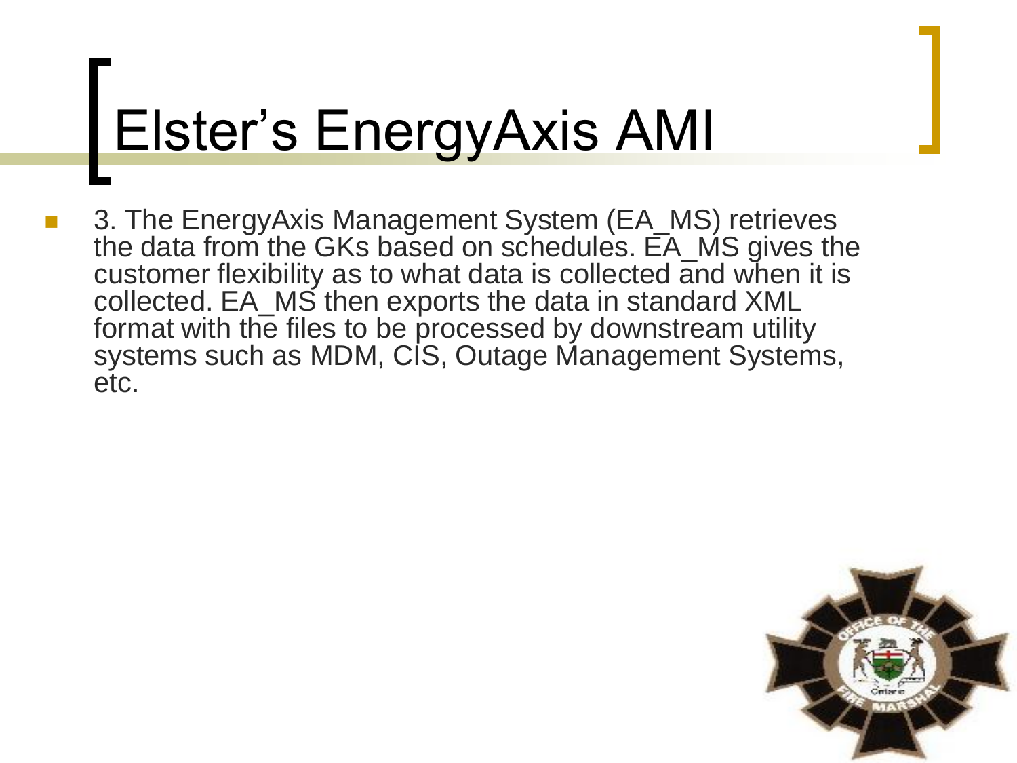# Elster's EnergyAxis AMI

 3. The EnergyAxis Management System (EA\_MS) retrieves the data from the GKs based on schedules. EA\_MS gives the customer flexibility as to what data is collected and when it is collected. EA\_MS then exports the data in standard XML format with the files to be processed by downstream utility systems such as MDM, CIS, Outage Management Systems, etc.

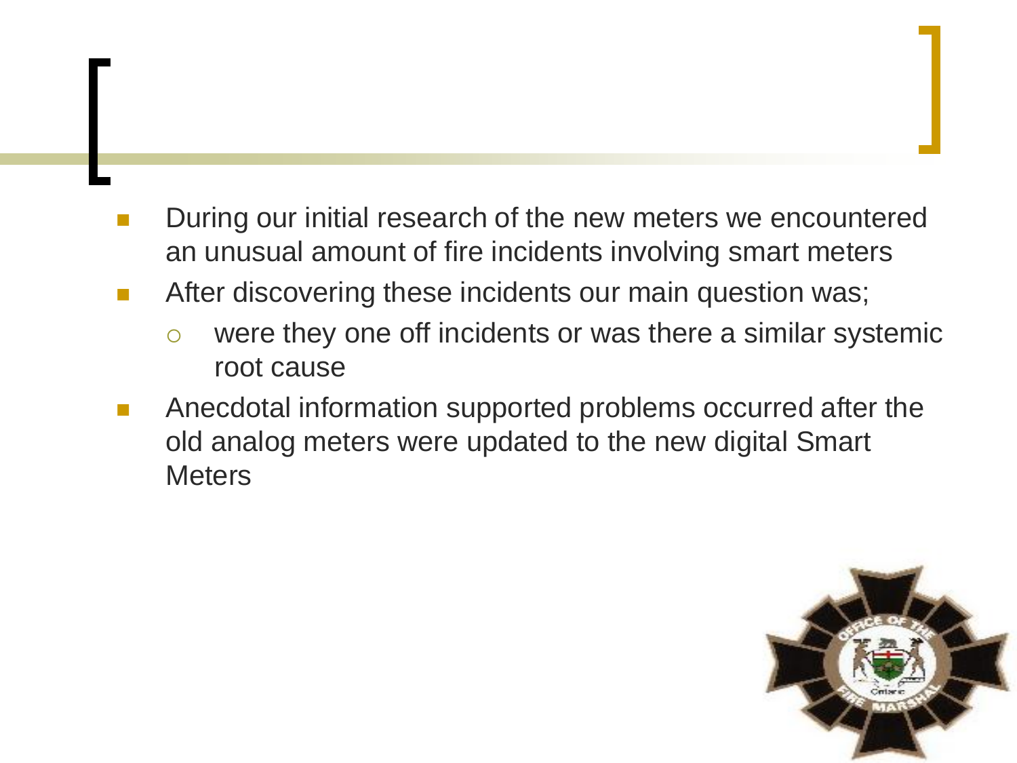- During our initial research of the new meters we encountered an unusual amount of fire incidents involving smart meters
- **EXTERN After discovering these incidents our main question was;**

- o were they one off incidents or was there a similar systemic root cause
- Anecdotal information supported problems occurred after the old analog meters were updated to the new digital Smart **Meters**

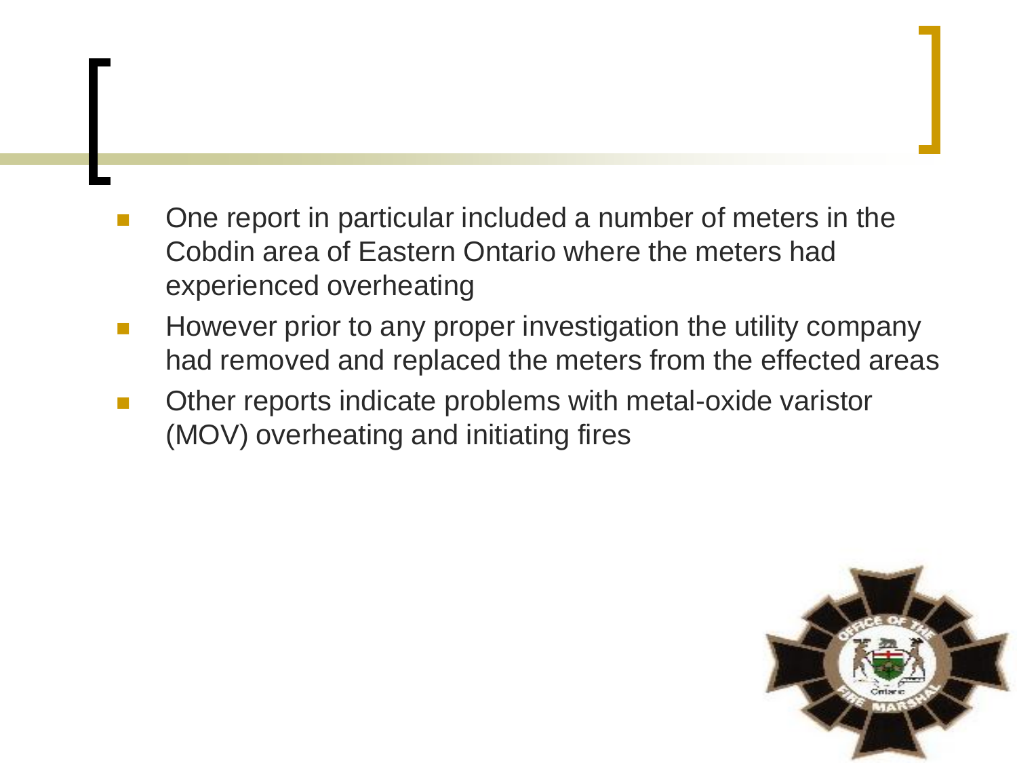One report in particular included a number of meters in the Cobdin area of Eastern Ontario where the meters had experienced overheating

- However prior to any proper investigation the utility company had removed and replaced the meters from the effected areas
- Other reports indicate problems with metal-oxide varistor (MOV) overheating and initiating fires

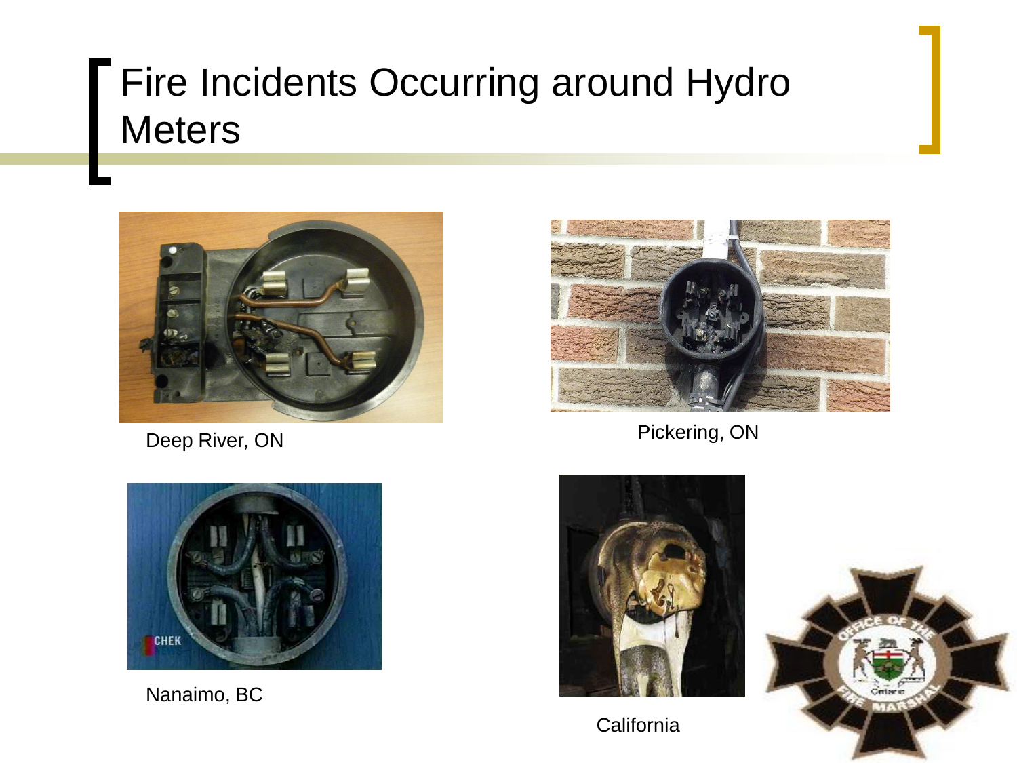### Fire Incidents Occurring around Hydro **Meters**



Deep River, ON



Pickering, ON



Nanaimo, BC





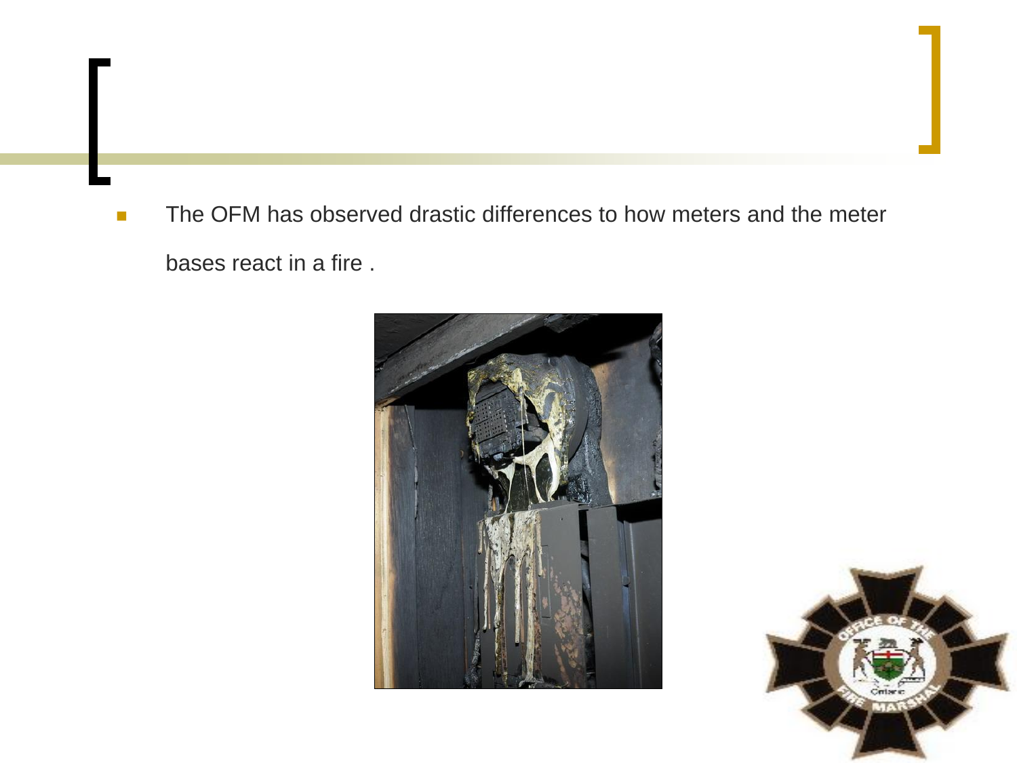The OFM has observed drastic differences to how meters and the meter bases react in a fire .



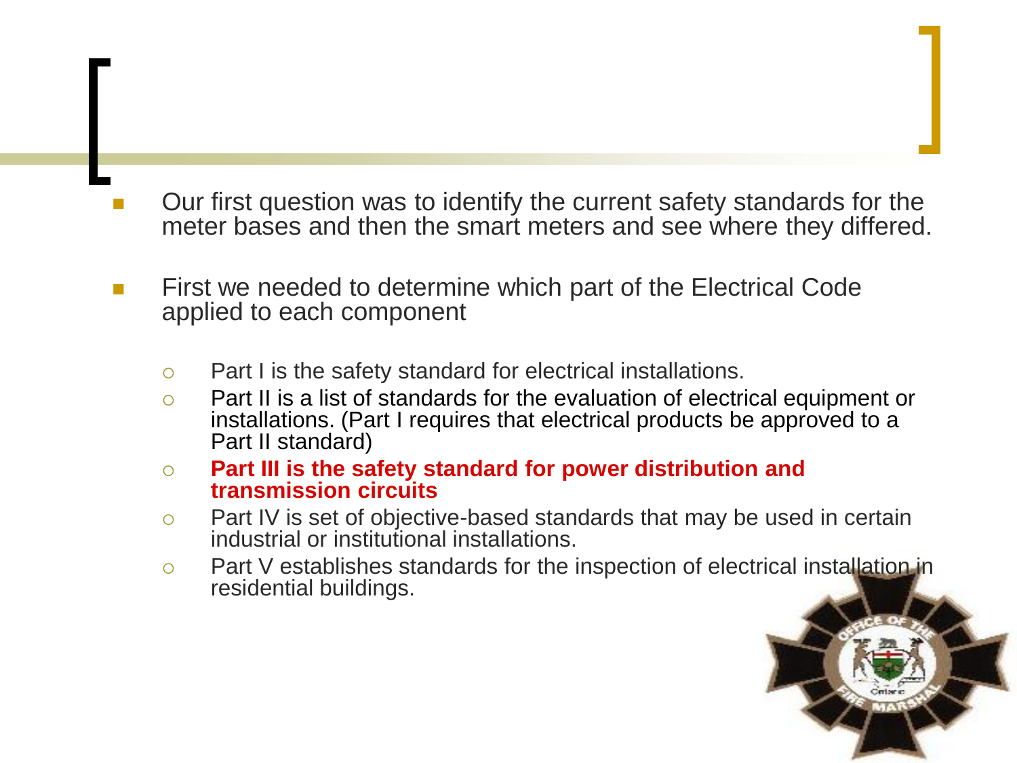- Our first question was to identify the current safety standards for the meter bases and then the smart meters and see where they differed.
- **First we needed to determine which part of the Electrical Code** applied to each component
	- Part I is the safety standard for electrical installations.
	- Part II is a list of standards for the evaluation of electrical equipment or installations. (Part I requires that electrical products be approved to a Part II standard)
	- **Part III is the safety standard for power distribution and transmission circuits**
	- $\circ$  Part IV is set of objective-based standards that may be used in certain industrial or institutional installations.
	- Part V establishes standards for the inspection of electrical installation in residential buildings.

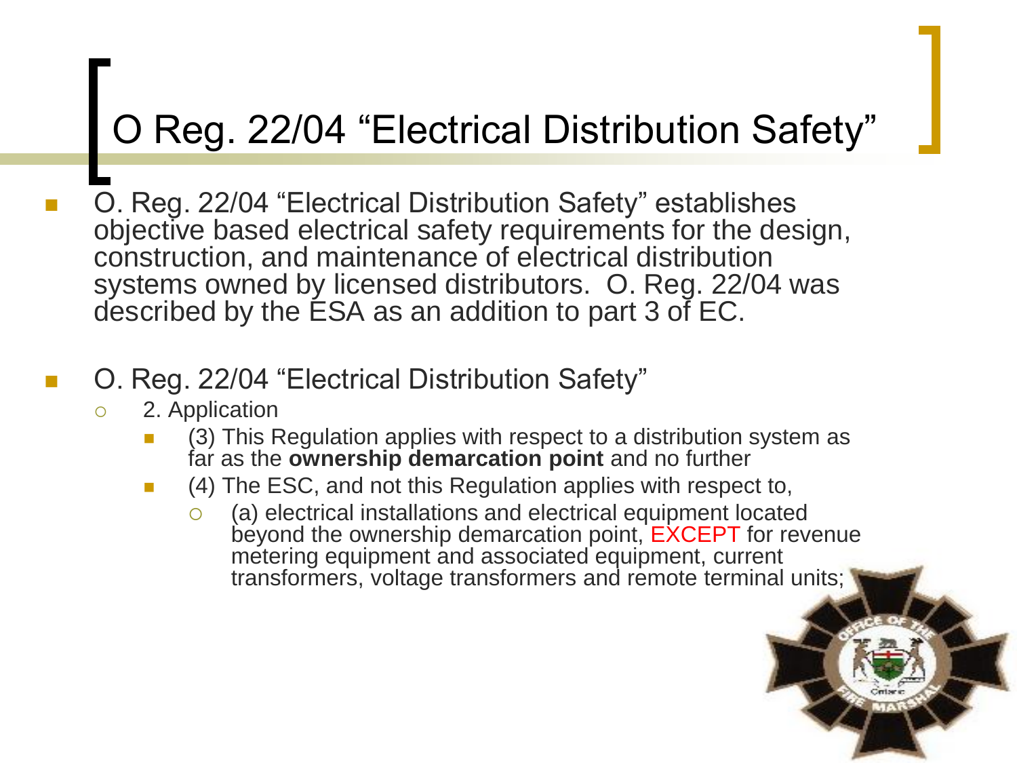### O Reg. 22/04 "Electrical Distribution Safety"

 O. Reg. 22/04 "Electrical Distribution Safety" establishes objective based electrical safety requirements for the design, construction, and maintenance of electrical distribution systems owned by licensed distributors. O. Reg. 22/04 was described by the ESA as an addition to part 3 of EC.

### O. Reg. 22/04 "Electrical Distribution Safety"

- 2. Application
	- (3) This Regulation applies with respect to a distribution system as far as the **ownership demarcation point** and no further
	- (4) The ESC, and not this Regulation applies with respect to,
		- $\circ$  (a) electrical installations and electrical equipment located beyond the ownership demarcation point, EXCEPT for revenue metering equipment and associated equipment, current transformers, voltage transformers and remote terminal units;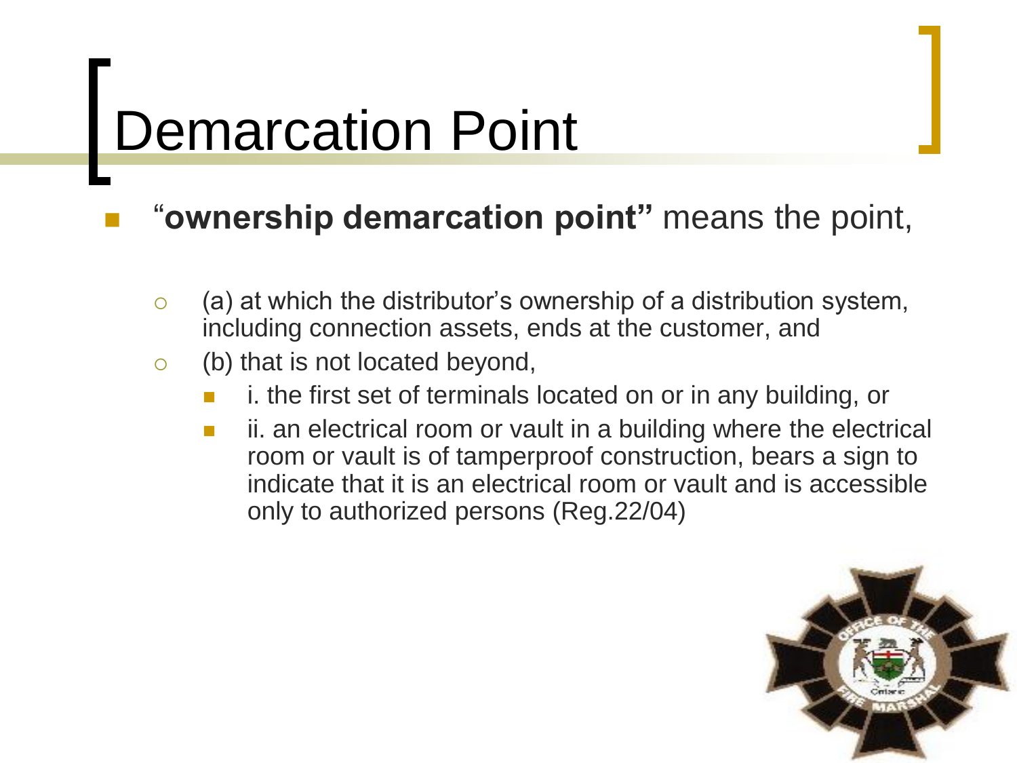# Demarcation Point

### "**ownership demarcation point"** means the point,

- $\circ$  (a) at which the distributor's ownership of a distribution system, including connection assets, ends at the customer, and
- $\circ$  (b) that is not located beyond,
	- i. the first set of terminals located on or in any building, or
	- **i** ii. an electrical room or vault in a building where the electrical room or vault is of tamperproof construction, bears a sign to indicate that it is an electrical room or vault and is accessible only to authorized persons (Reg.22/04)

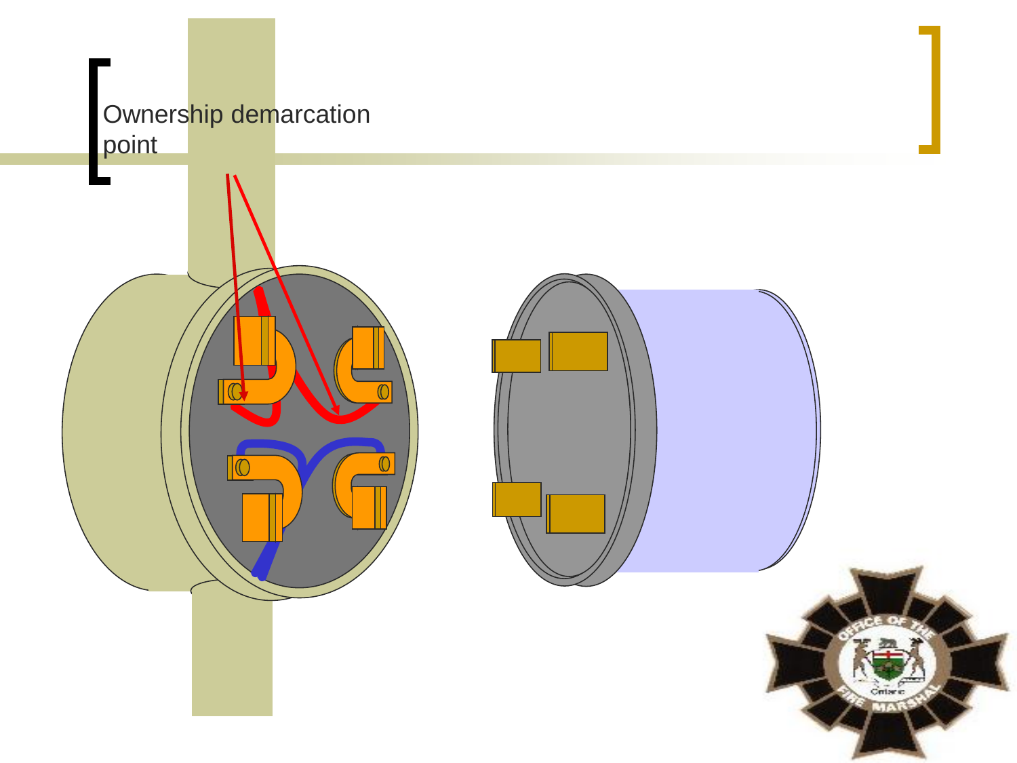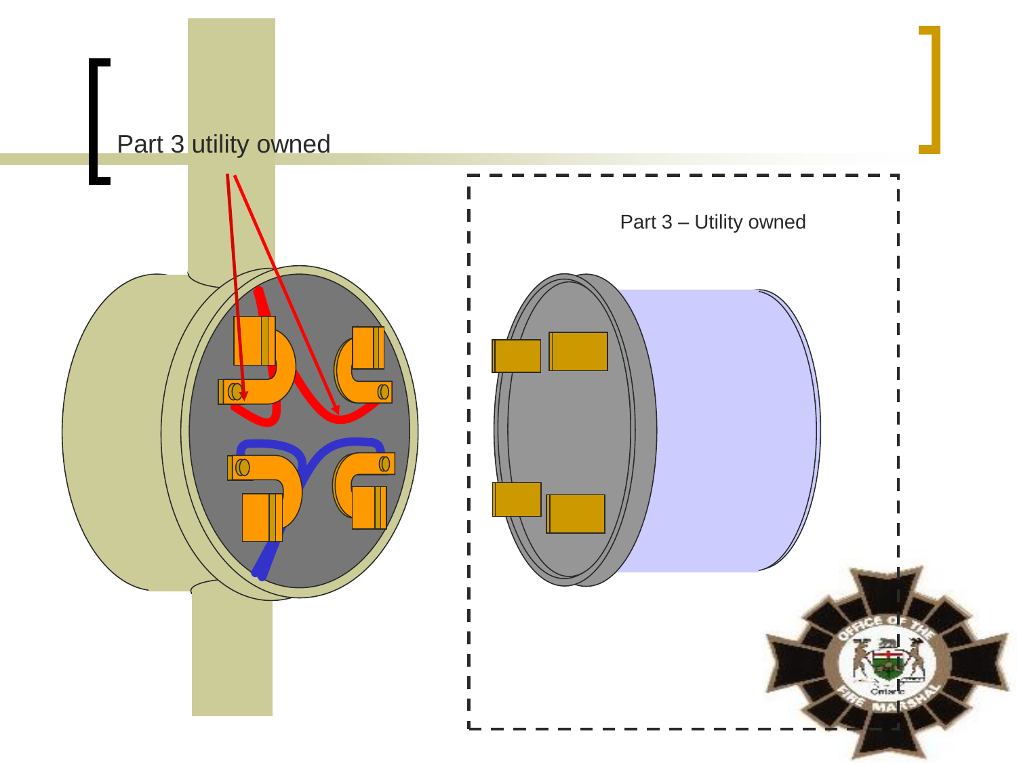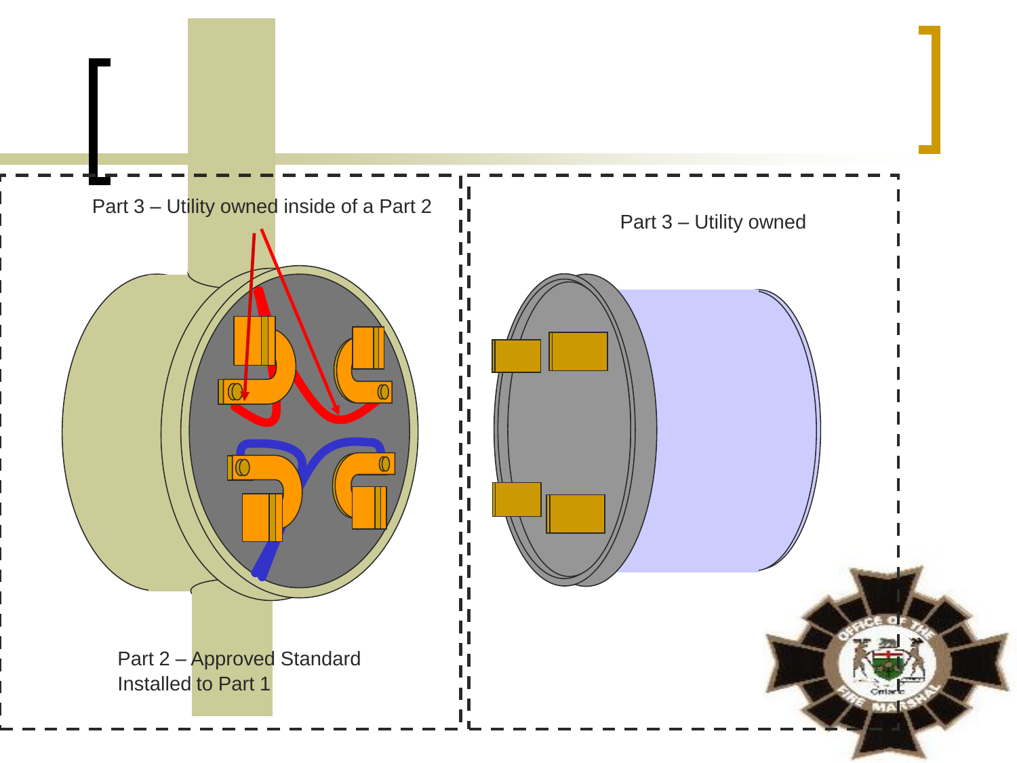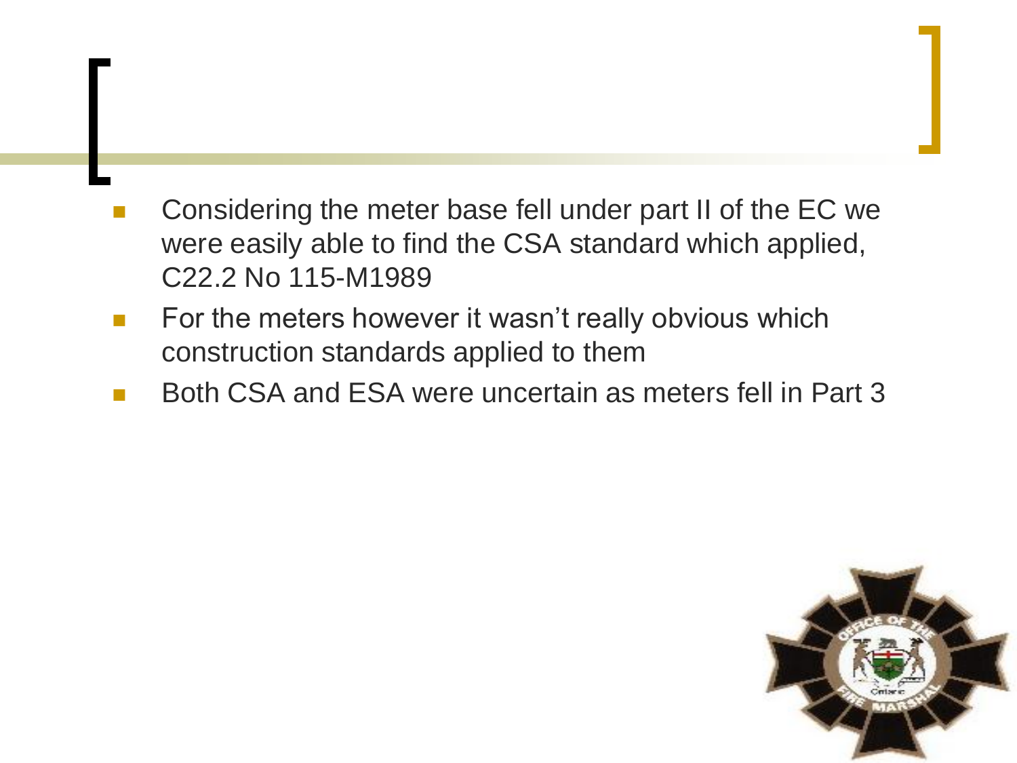- Considering the meter base fell under part II of the EC we were easily able to find the CSA standard which applied, C22.2 No 115-M1989
- For the meters however it wasn't really obvious which construction standards applied to them
- Both CSA and ESA were uncertain as meters fell in Part 3

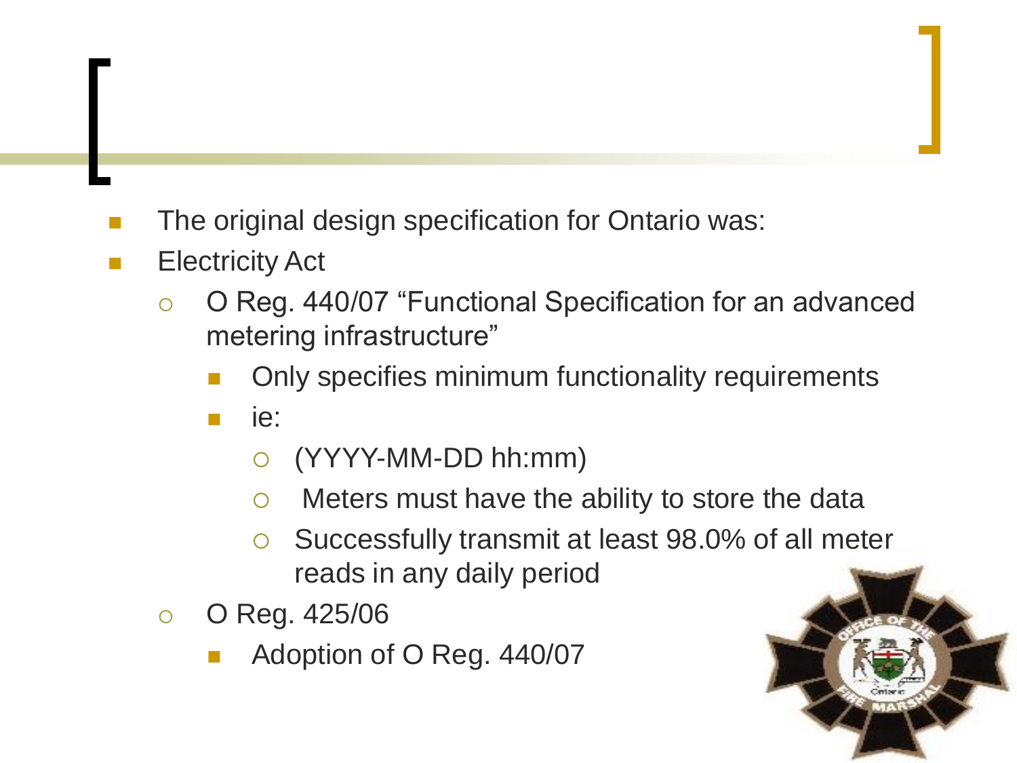- **The original design specification for Ontario was:**
- **Electricity Act** 
	- O Reg. 440/07 "Functional Specification for an advanced metering infrastructure"
		- Only specifies minimum functionality requirements
		- ie:
			- (YYYY-MM-DD hh:mm)
			- Meters must have the ability to store the data
			- Successfully transmit at least 98.0% of all meter reads in any daily period
	- $\circ$  O Reg. 425/06
		- Adoption of O Reg. 440/07

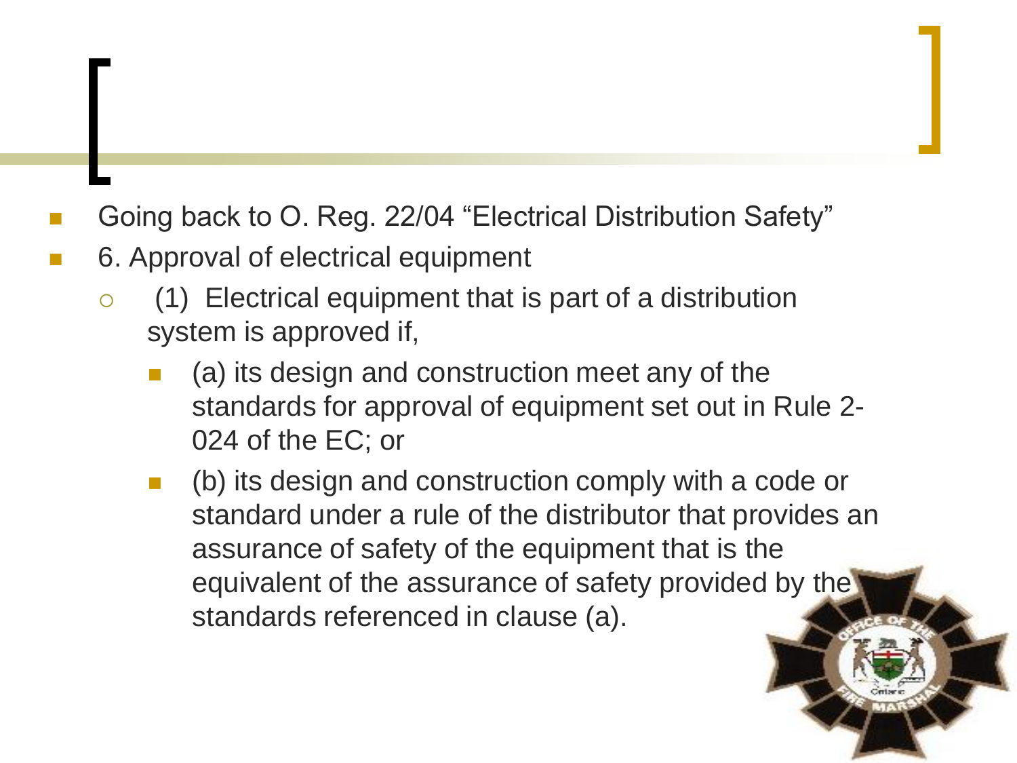- Going back to O. Reg. 22/04 "Electrical Distribution Safety"
- 6. Approval of electrical equipment
	- $\circ$  (1) Electrical equipment that is part of a distribution system is approved if,
		- (a) its design and construction meet any of the standards for approval of equipment set out in Rule 2- 024 of the EC; or
		- (b) its design and construction comply with a code or standard under a rule of the distributor that provides an assurance of safety of the equipment that is the equivalent of the assurance of safety provided by the standards referenced in clause (a).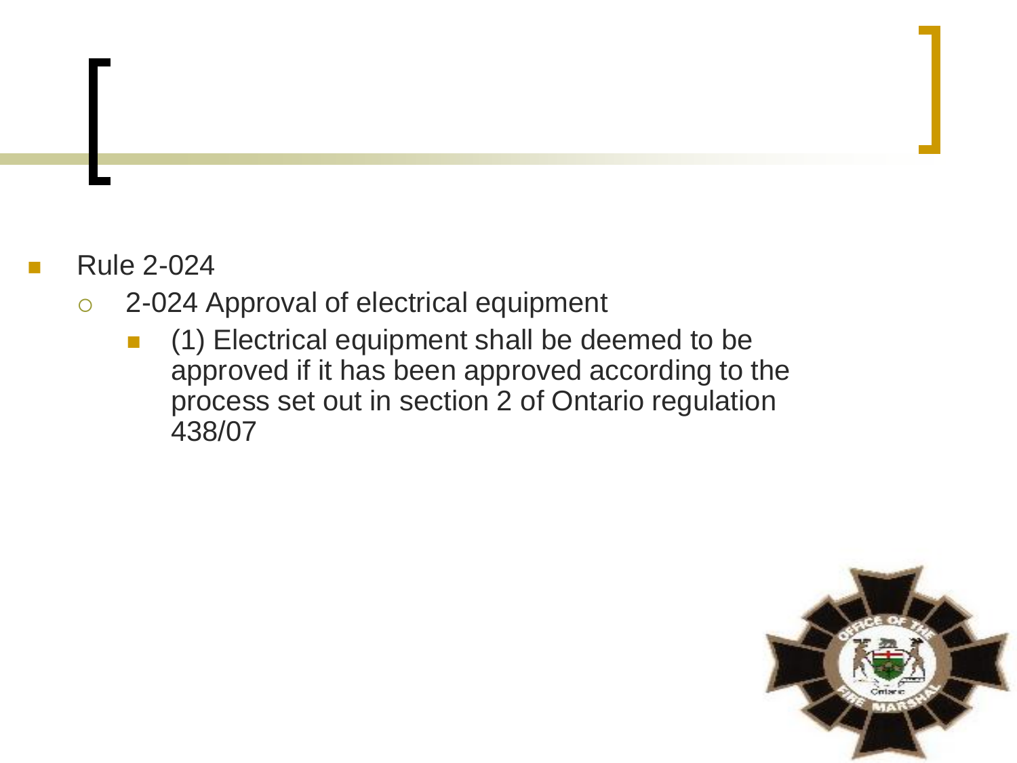- Rule 2-024
	- 2-024 Approval of electrical equipment
		- **1** (1) Electrical equipment shall be deemed to be approved if it has been approved according to the process set out in section 2 of Ontario regulation 438/07

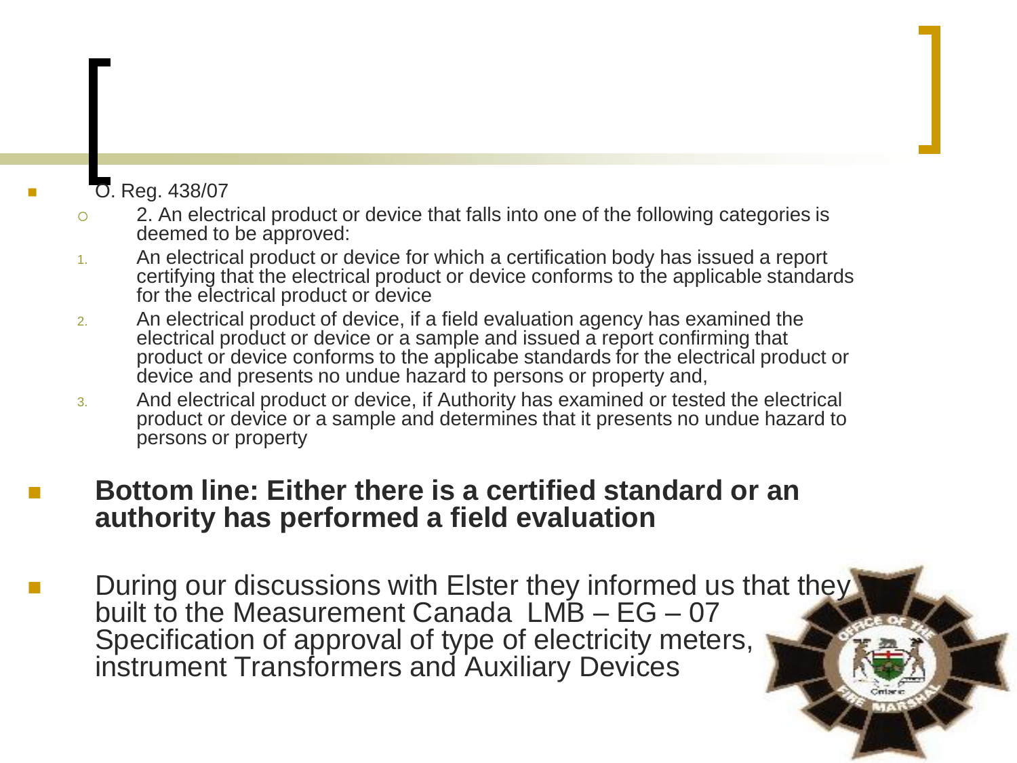#### O. Reg. 438/07

- 2. An electrical product or device that falls into one of the following categories is deemed to be approved:
- 1. An electrical product or device for which a certification body has issued a report certifying that the electrical product or device conforms to the applicable standards for the electrical product or device
- 2. An electrical product of device, if a field evaluation agency has examined the electrical product or device or a sample and issued a report confirming that product or device conforms to the applicabe standards for the electrical product or device and presents no undue hazard to persons or property and,
- 3. And electrical product or device, if Authority has examined or tested the electrical product or device or a sample and determines that it presents no undue hazard to persons or property

#### **Bottom line: Either there is a certified standard or an authority has performed a field evaluation**

 During our discussions with Elster they informed us that they built to the Measurement Canada  $LMB - EG - 07$ Specification of approval of type of electricity meters, instrument Transformers and Auxiliary Devices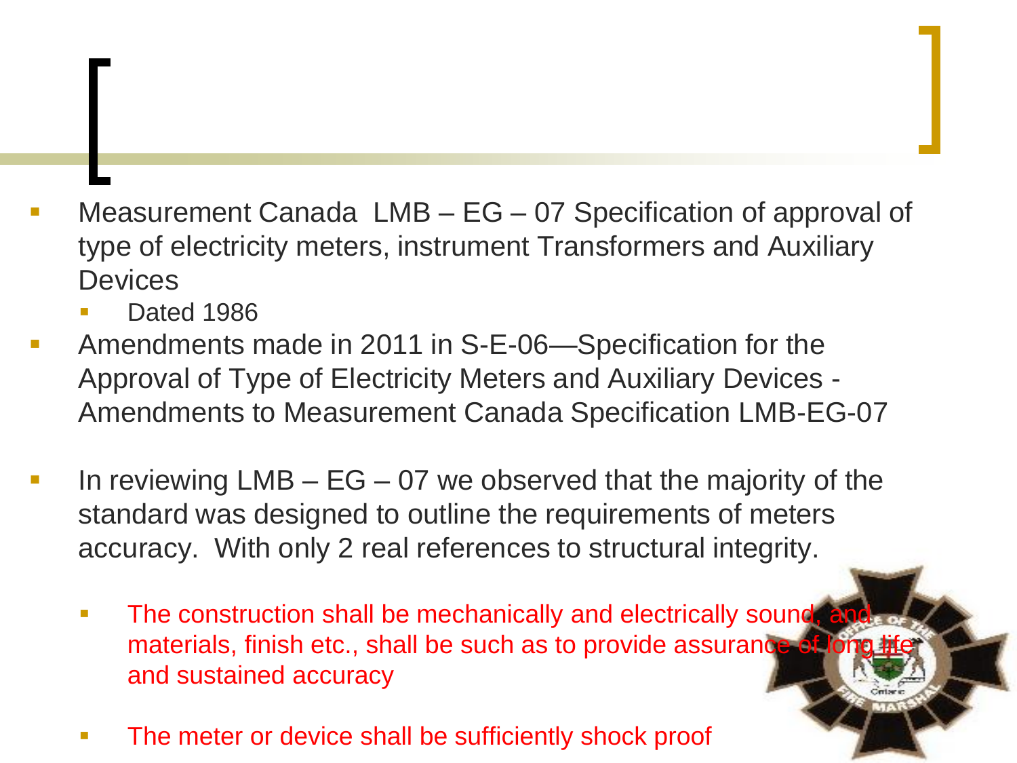- Measurement Canada LMB EG 07 Specification of approval of type of electricity meters, instrument Transformers and Auxiliary **Devices** 
	- Dated 1986
- Amendments made in 2011 in S-E-06—Specification for the Approval of Type of Electricity Meters and Auxiliary Devices - Amendments to Measurement Canada Specification LMB-EG-07
- In reviewing  $LMB EG 07$  we observed that the majority of the standard was designed to outline the requirements of meters accuracy. With only 2 real references to structural integrity.
	- The construction shall be mechanically and electrically sound, and materials, finish etc., shall be such as to provide assurance of lo and sustained accuracy
	- The meter or device shall be sufficiently shock proof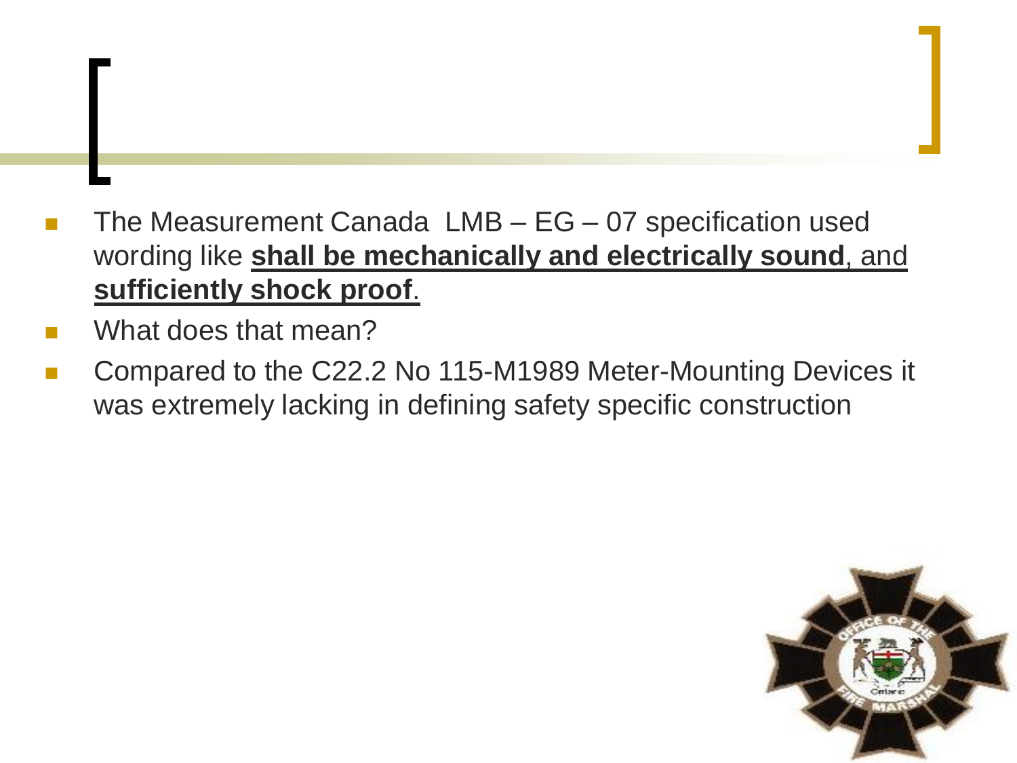- The Measurement Canada LMB EG 07 specification used wording like **shall be mechanically and electrically sound**, and **sufficiently shock proof**.
- What does that mean?
- Compared to the C22.2 No 115-M1989 Meter-Mounting Devices it was extremely lacking in defining safety specific construction

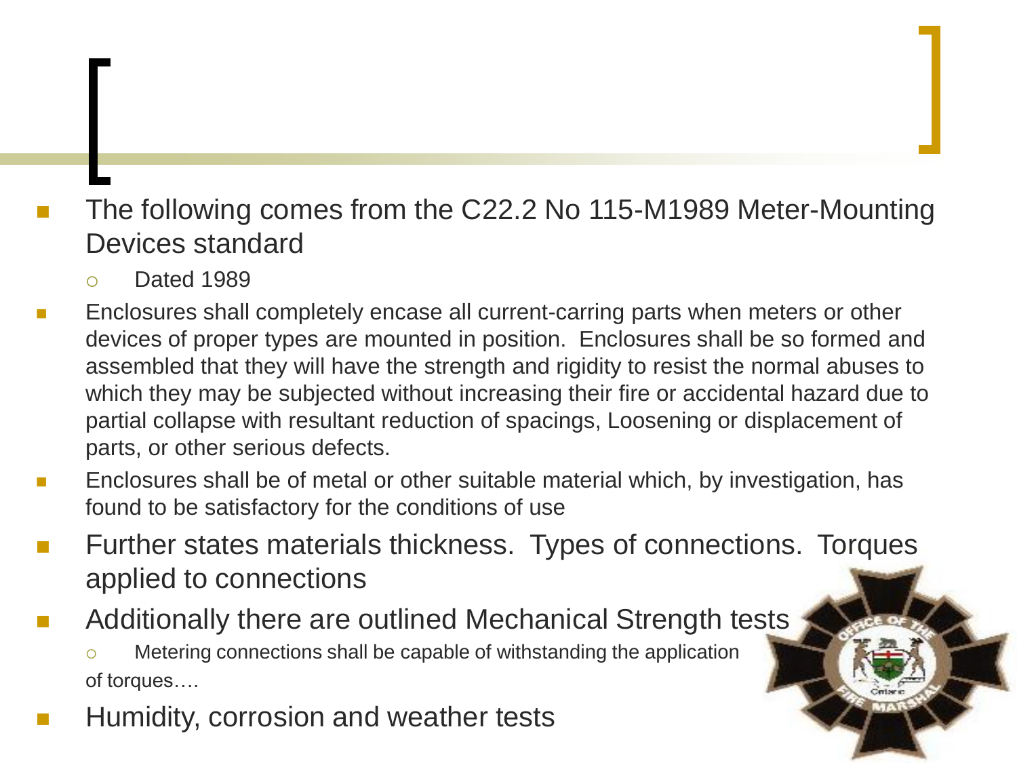### The following comes from the C22.2 No 115-M1989 Meter-Mounting Devices standard

- Dated 1989
- Enclosures shall completely encase all current-carring parts when meters or other devices of proper types are mounted in position. Enclosures shall be so formed and assembled that they will have the strength and rigidity to resist the normal abuses to which they may be subjected without increasing their fire or accidental hazard due to partial collapse with resultant reduction of spacings, Loosening or displacement of parts, or other serious defects.
- Enclosures shall be of metal or other suitable material which, by investigation, has found to be satisfactory for the conditions of use
- Further states materials thickness. Types of connections. Torques applied to connections
- Additionally there are outlined Mechanical Strength tests Metering connections shall be capable of withstanding the application of torques….
- Humidity, corrosion and weather tests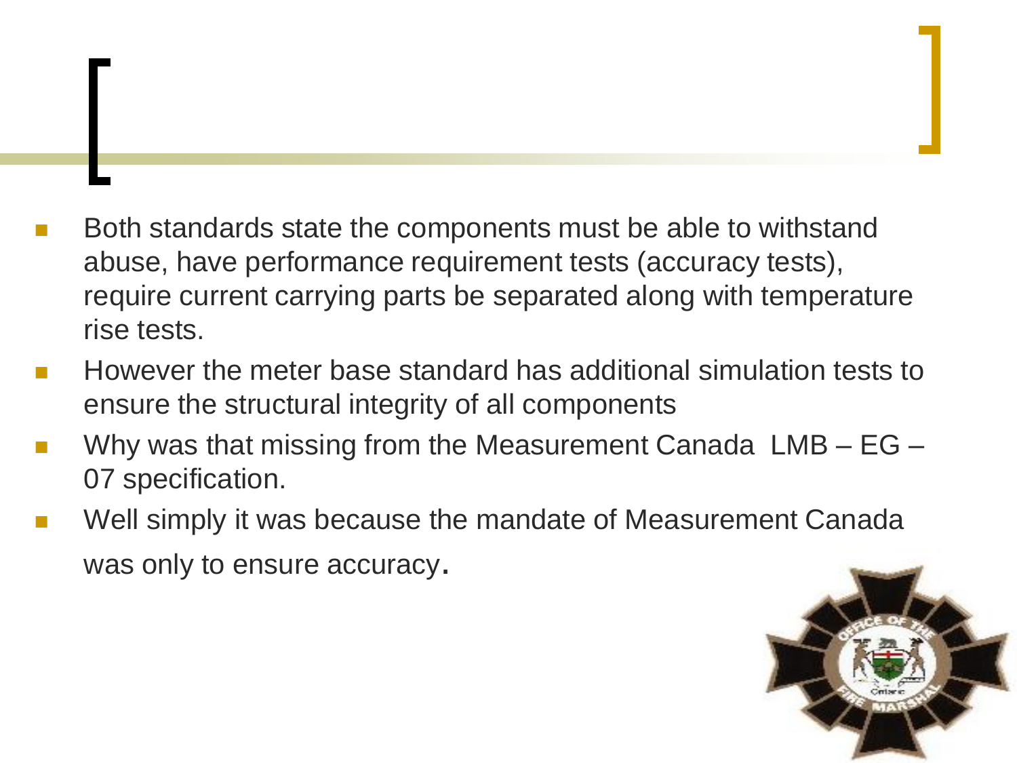- Both standards state the components must be able to withstand abuse, have performance requirement tests (accuracy tests), require current carrying parts be separated along with temperature rise tests.
- However the meter base standard has additional simulation tests to ensure the structural integrity of all components
- Why was that missing from the Measurement Canada LMB EG 07 specification.
- Well simply it was because the mandate of Measurement Canada was only to ensure accuracy.

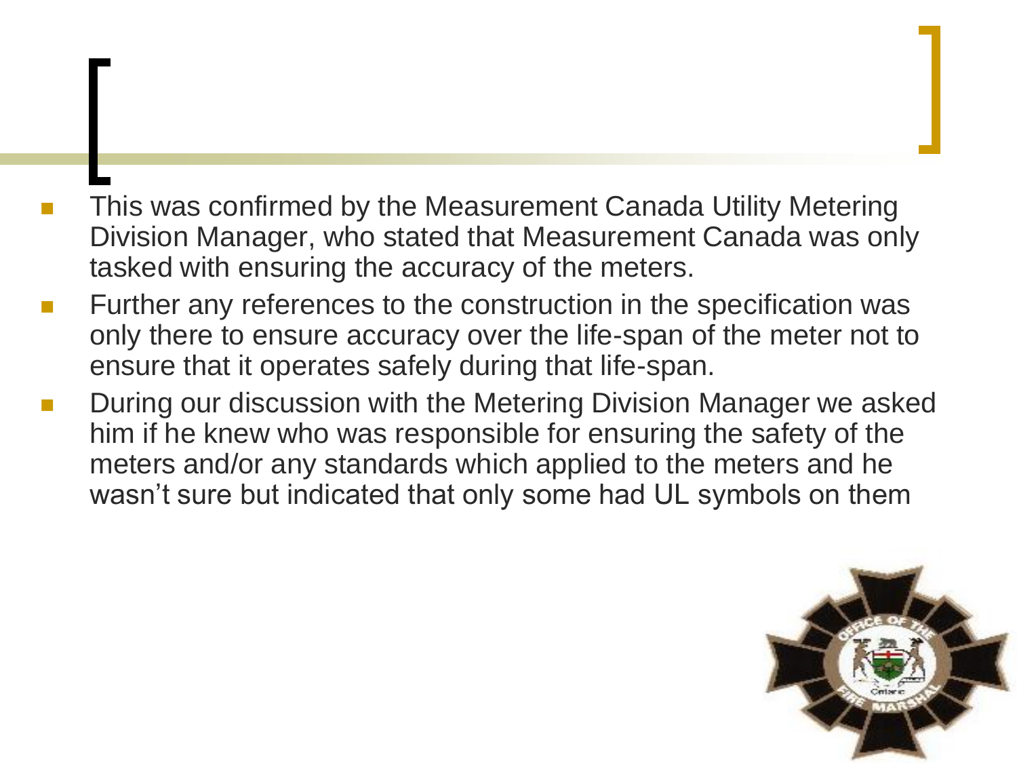- This was confirmed by the Measurement Canada Utility Metering Division Manager, who stated that Measurement Canada was only tasked with ensuring the accuracy of the meters.
- Further any references to the construction in the specification was only there to ensure accuracy over the life-span of the meter not to ensure that it operates safely during that life-span.
- During our discussion with the Metering Division Manager we asked him if he knew who was responsible for ensuring the safety of the meters and/or any standards which applied to the meters and he wasn't sure but indicated that only some had UL symbols on them

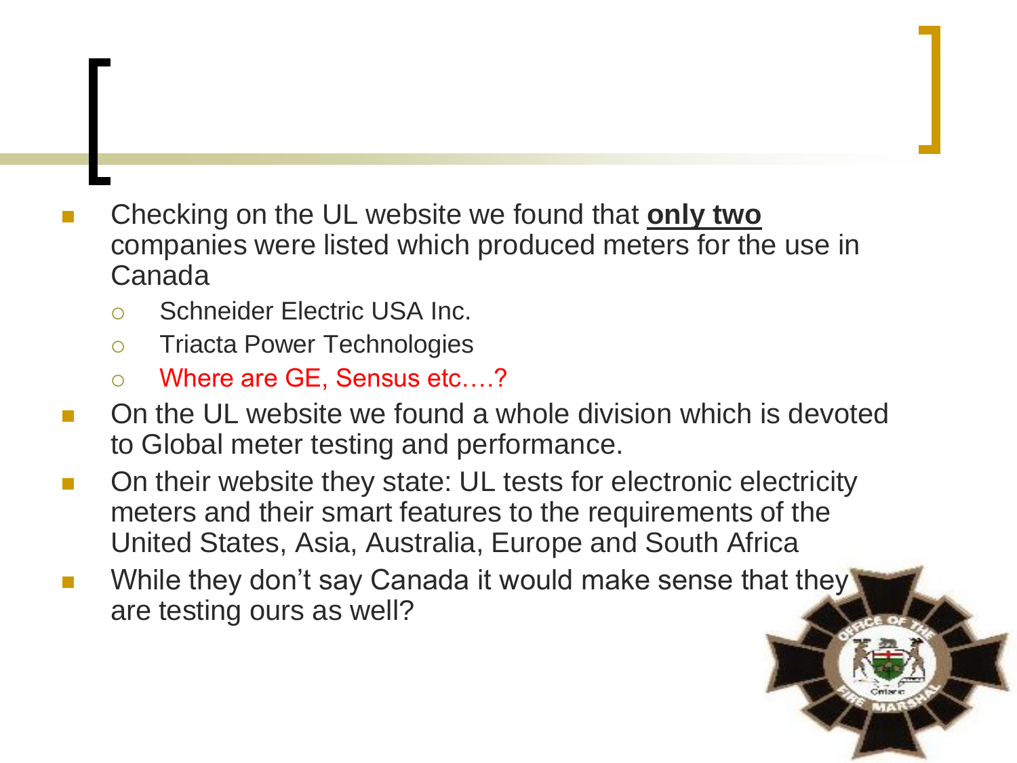- Checking on the UL website we found that **only two** companies were listed which produced meters for the use in Canada
	- Schneider Electric USA Inc.
	- o Triacta Power Technologies
	- Where are GE, Sensus etc….?
- On the UL website we found a whole division which is devoted to Global meter testing and performance.
- On their website they state: UL tests for electronic electricity meters and their smart features to the requirements of the United States, Asia, Australia, Europe and South Africa
- While they don't say Canada it would make sense that they are testing ours as well?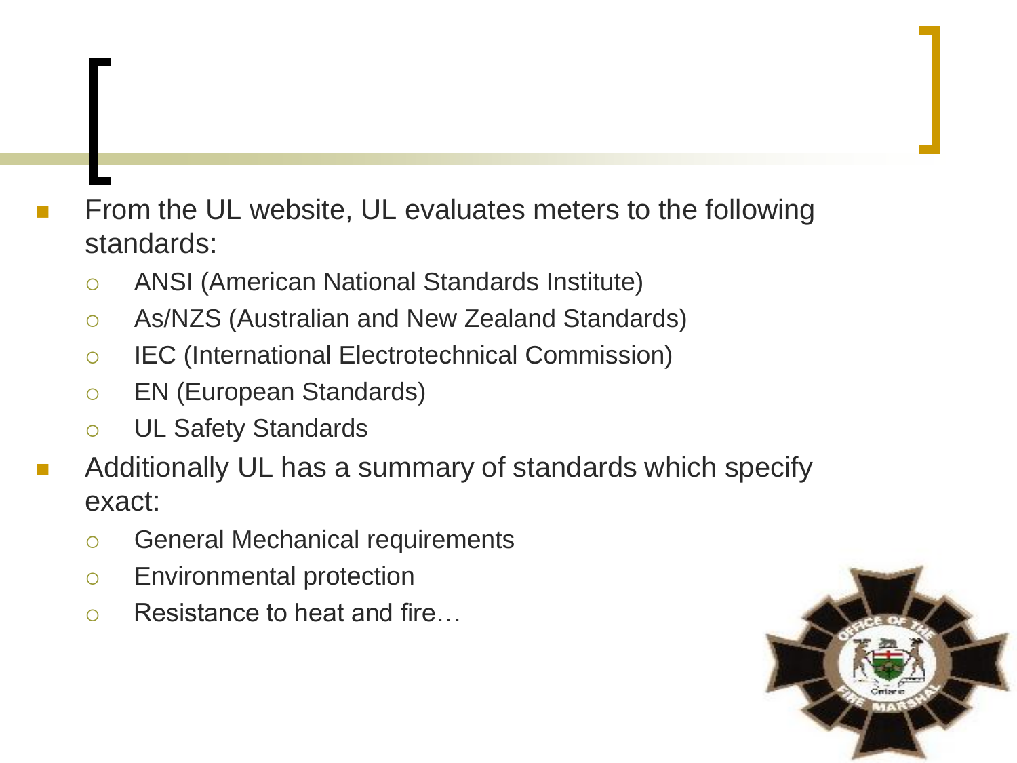- From the UL website, UL evaluates meters to the following standards:
	- ANSI (American National Standards Institute)
	- As/NZS (Australian and New Zealand Standards)
	- IEC (International Electrotechnical Commission)
	- EN (European Standards)
	- UL Safety Standards
- Additionally UL has a summary of standards which specify exact:
	- o General Mechanical requirements
	- Environmental protection
	- Resistance to heat and fire...

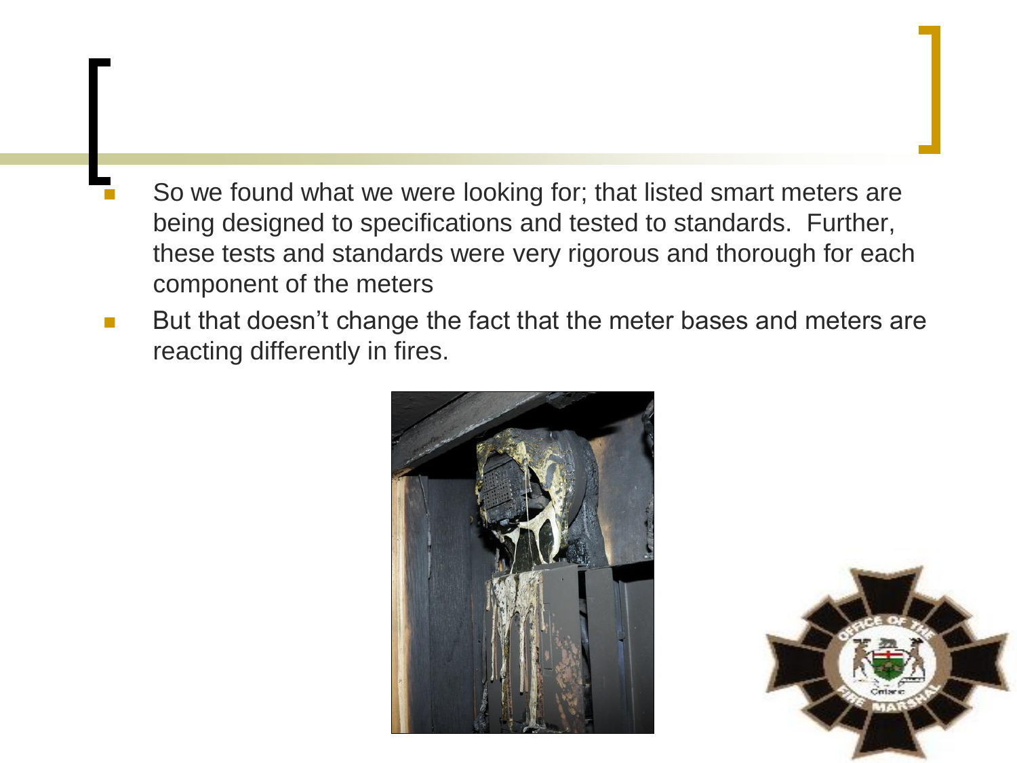- So we found what we were looking for; that listed smart meters are being designed to specifications and tested to standards. Further, these tests and standards were very rigorous and thorough for each component of the meters
- But that doesn't change the fact that the meter bases and meters are reacting differently in fires.



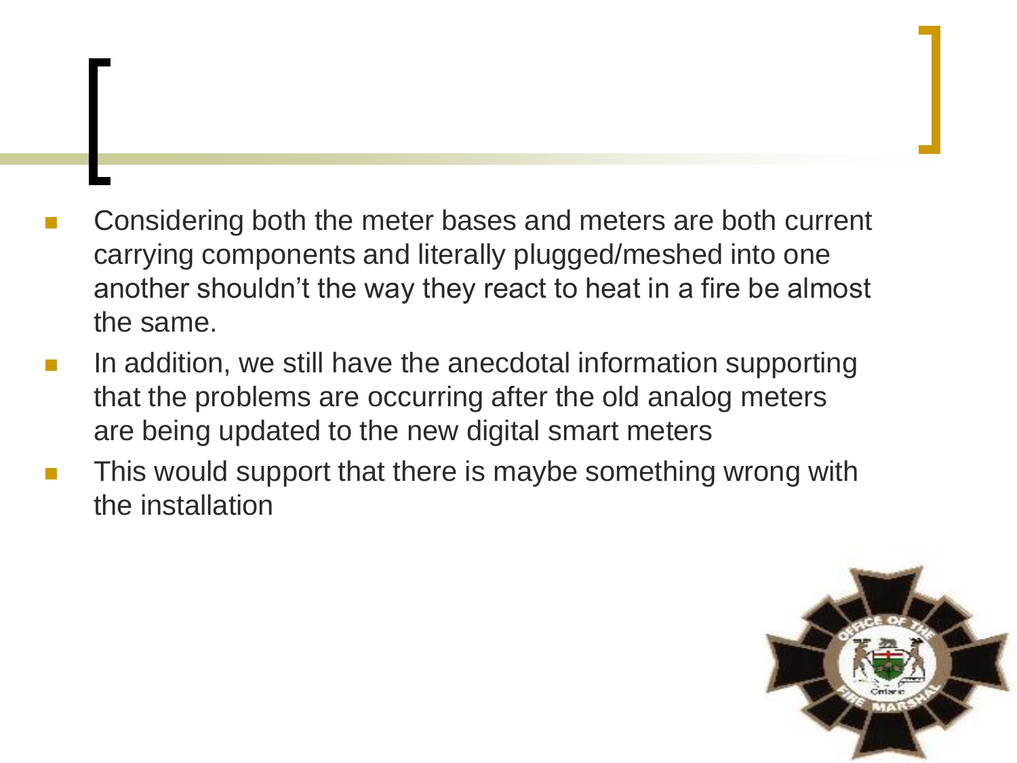- Considering both the meter bases and meters are both current carrying components and literally plugged/meshed into one another shouldn't the way they react to heat in a fire be almost the same.
- In addition, we still have the anecdotal information supporting that the problems are occurring after the old analog meters are being updated to the new digital smart meters
- This would support that there is maybe something wrong with the installation

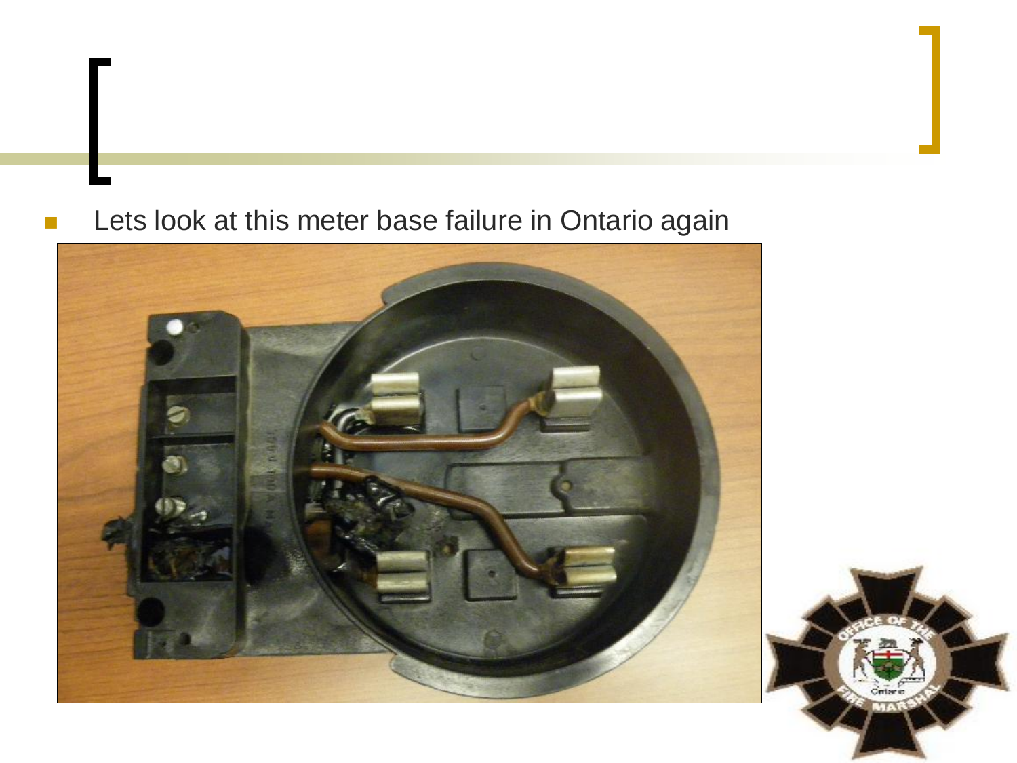#### **Lets look at this meter base failure in Ontario again**

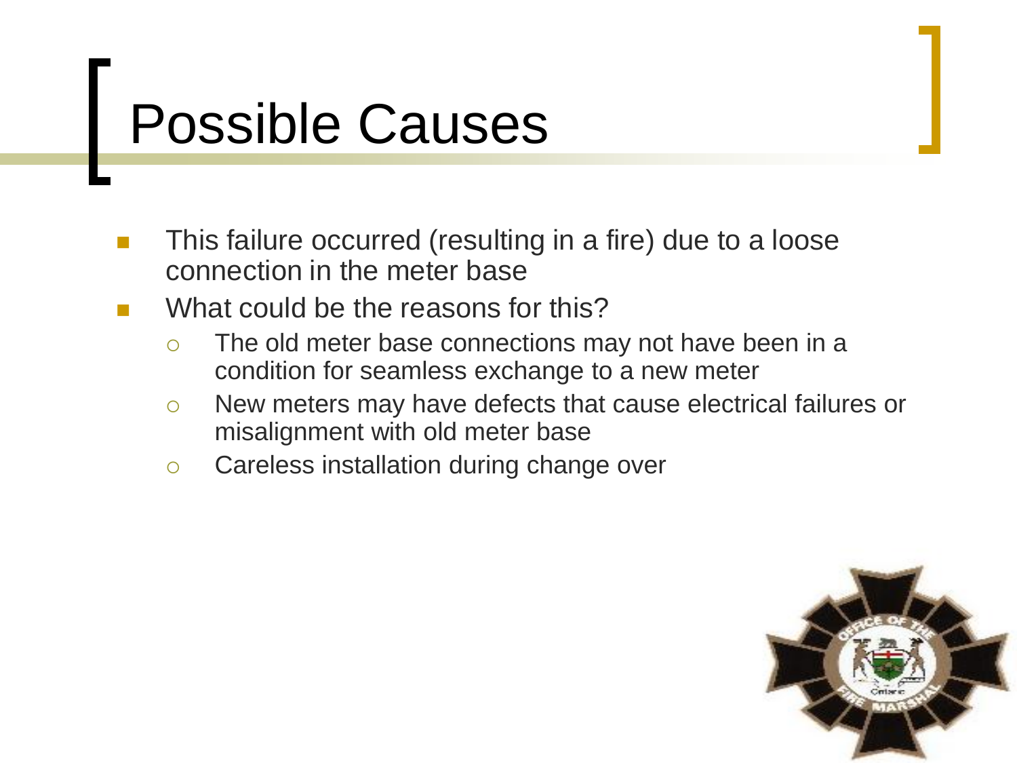## Possible Causes

- This failure occurred (resulting in a fire) due to a loose connection in the meter base
- What could be the reasons for this?
	- The old meter base connections may not have been in a condition for seamless exchange to a new meter
	- New meters may have defects that cause electrical failures or misalignment with old meter base
	- o Careless installation during change over

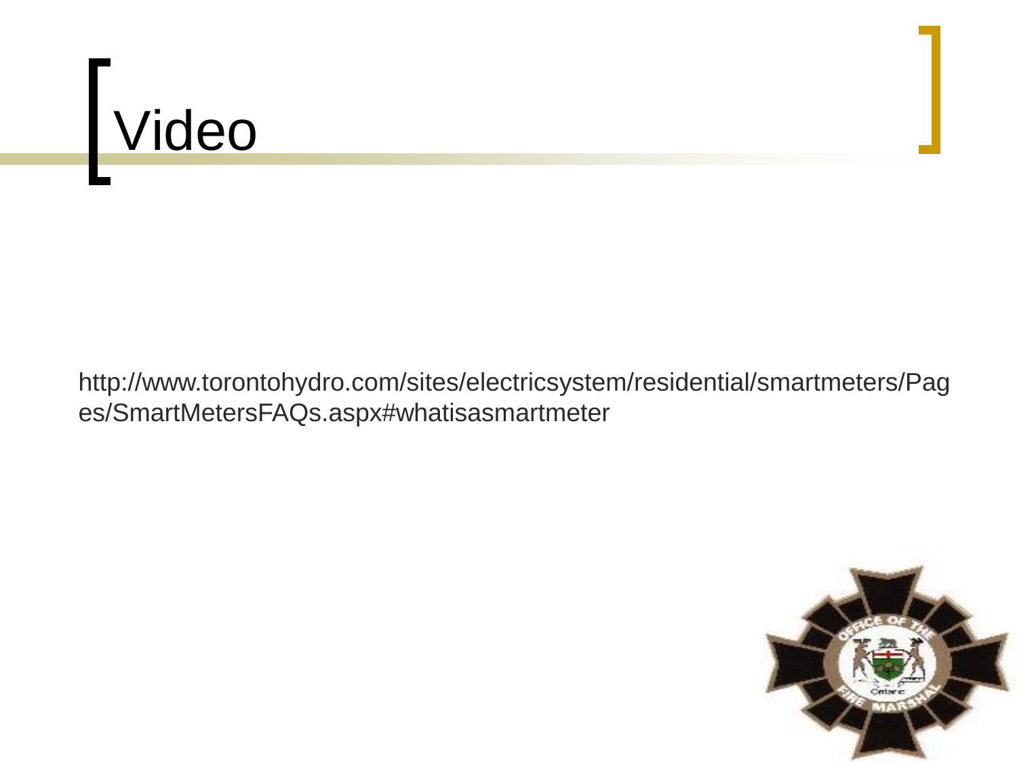# Video

http://www.torontohydro.com/sites/electricsystem/residential/smartmeters/Pag es/SmartMetersFAQs.aspx#whatisasmartmeter

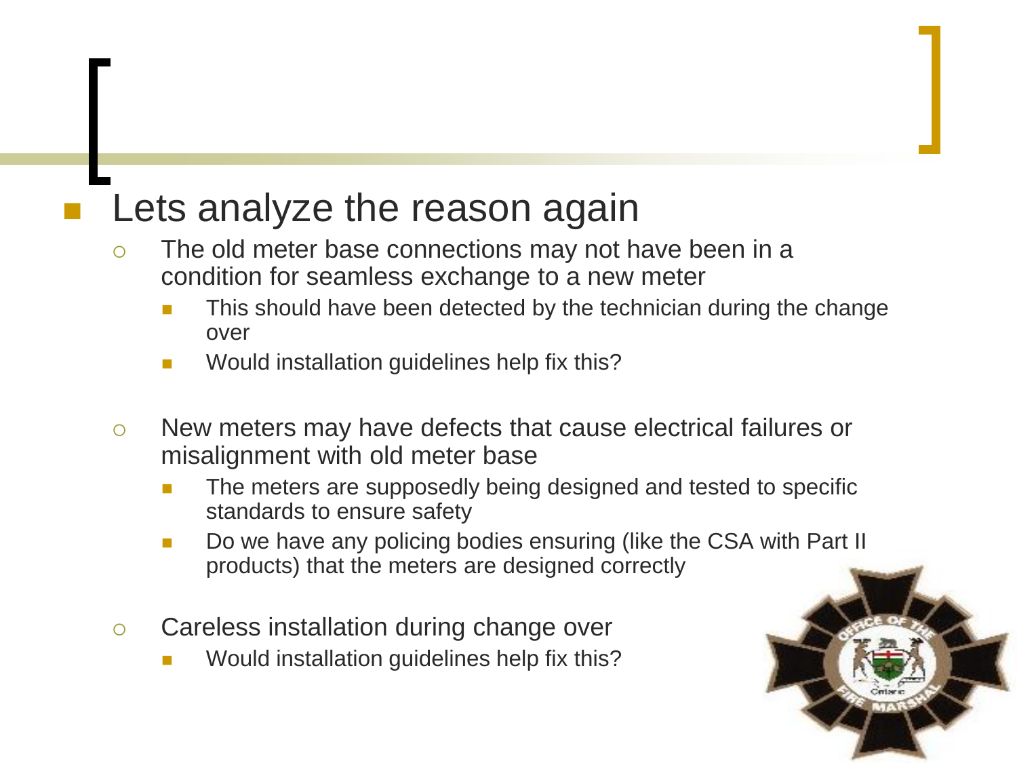### Lets analyze the reason again

- The old meter base connections may not have been in a condition for seamless exchange to a new meter
	- This should have been detected by the technician during the change over
	- Would installation guidelines help fix this?
- New meters may have defects that cause electrical failures or misalignment with old meter base
	- The meters are supposedly being designed and tested to specific standards to ensure safety
	- Do we have any policing bodies ensuring (like the CSA with Part II products) that the meters are designed correctly
- Careless installation during change over
	- Would installation guidelines help fix this?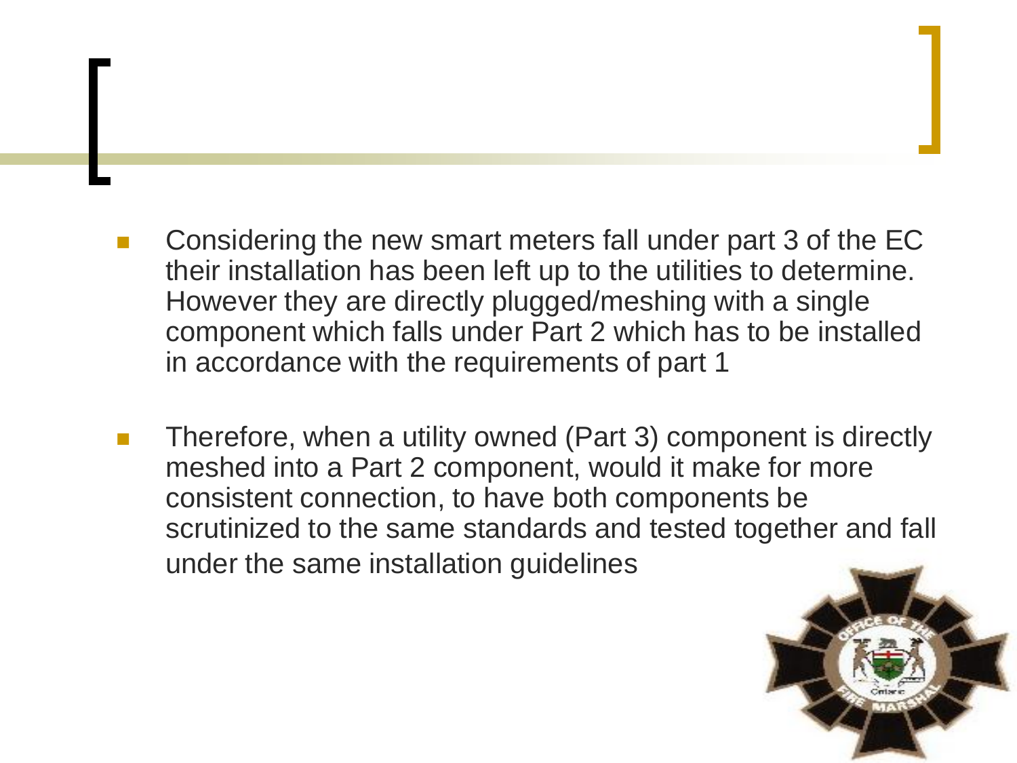- Considering the new smart meters fall under part 3 of the EC their installation has been left up to the utilities to determine. However they are directly plugged/meshing with a single component which falls under Part 2 which has to be installed in accordance with the requirements of part 1
- Therefore, when a utility owned (Part 3) component is directly meshed into a Part 2 component, would it make for more consistent connection, to have both components be scrutinized to the same standards and tested together and fall under the same installation guidelines